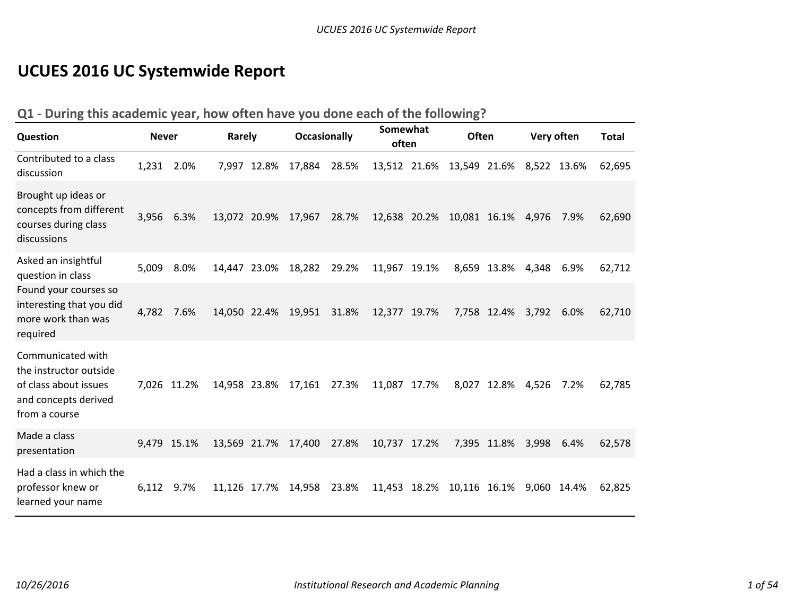# **UCUES 2016 UC Systemwide Report**

#### **Q1 ‐ During this academic year, how often have you done each of the following?**

| Question                                                                                                      | <b>Never</b> |             | Rarely       |             | <b>Occasionally</b> |       | Somewhat<br>often | <b>Often</b>                          |                   | Very often |      | <b>Total</b> |
|---------------------------------------------------------------------------------------------------------------|--------------|-------------|--------------|-------------|---------------------|-------|-------------------|---------------------------------------|-------------------|------------|------|--------------|
| Contributed to a class<br>discussion                                                                          | 1,231 2.0%   |             |              | 7,997 12.8% | 17,884              | 28.5% |                   | 13,512 21.6% 13,549 21.6% 8,522 13.6% |                   |            |      | 62,695       |
| Brought up ideas or<br>concepts from different<br>courses during class<br>discussions                         | 3,956        | 6.3%        | 13,072 20.9% |             | 17,967              | 28.7% |                   | 12,638 20.2% 10,081 16.1% 4,976       |                   |            | 7.9% | 62,690       |
| Asked an insightful<br>question in class                                                                      | 5,009        | 8.0%        | 14,447 23.0% |             | 18,282              | 29.2% | 11,967 19.1%      |                                       | 8,659 13.8%       | 4,348      | 6.9% | 62,712       |
| Found your courses so<br>interesting that you did<br>more work than was<br>required                           | 4,782        | 7.6%        |              |             | 14,050 22.4% 19,951 | 31.8% | 12,377 19.7%      |                                       | 7,758 12.4% 3,792 |            | 6.0% | 62,710       |
| Communicated with<br>the instructor outside<br>of class about issues<br>and concepts derived<br>from a course |              | 7,026 11.2% |              |             | 14,958 23.8% 17,161 | 27.3% | 11,087 17.7%      |                                       | 8,027 12.8%       | 4,526      | 7.2% | 62,785       |
| Made a class<br>presentation                                                                                  |              | 9,479 15.1% | 13,569 21.7% |             | 17,400              | 27.8% | 10,737 17.2%      |                                       | 7,395 11.8%       | 3,998      | 6.4% | 62,578       |
| Had a class in which the<br>professor knew or<br>learned your name                                            | 6,112        | 9.7%        | 11,126 17.7% |             | 14,958              | 23.8% |                   | 11,453 18.2% 10,116 16.1% 9,060 14.4% |                   |            |      | 62,825       |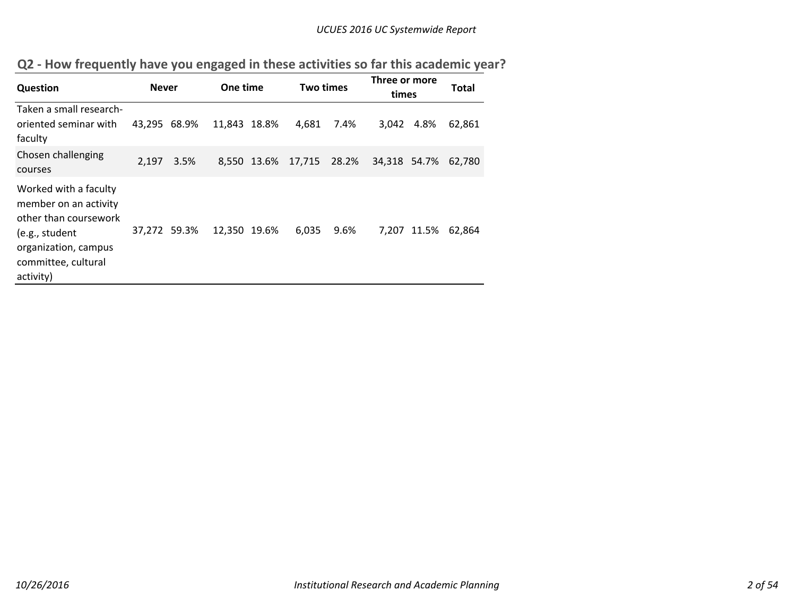|  | Q2 - How frequently have you engaged in these activities so far this academic year? |  |
|--|-------------------------------------------------------------------------------------|--|
|--|-------------------------------------------------------------------------------------|--|

| Question                                                                                                                                              | <b>Never</b> |      | One time     |             | <b>Two times</b> |      | Three or more<br>times |             | Total  |
|-------------------------------------------------------------------------------------------------------------------------------------------------------|--------------|------|--------------|-------------|------------------|------|------------------------|-------------|--------|
| Taken a small research-<br>oriented seminar with<br>faculty                                                                                           | 43,295 68.9% |      | 11,843 18.8% |             | 4,681            | 7.4% | 3,042                  | 4.8%        | 62,861 |
| Chosen challenging<br>courses                                                                                                                         | 2,197        | 3.5% |              | 8,550 13.6% | 17,715 28.2%     |      | 34,318 54.7%           |             | 62,780 |
| Worked with a faculty<br>member on an activity<br>other than coursework<br>(e.g., student<br>organization, campus<br>committee, cultural<br>activity) | 37,272 59.3% |      | 12,350 19.6% |             | 6,035            | 9.6% |                        | 7,207 11.5% | 62,864 |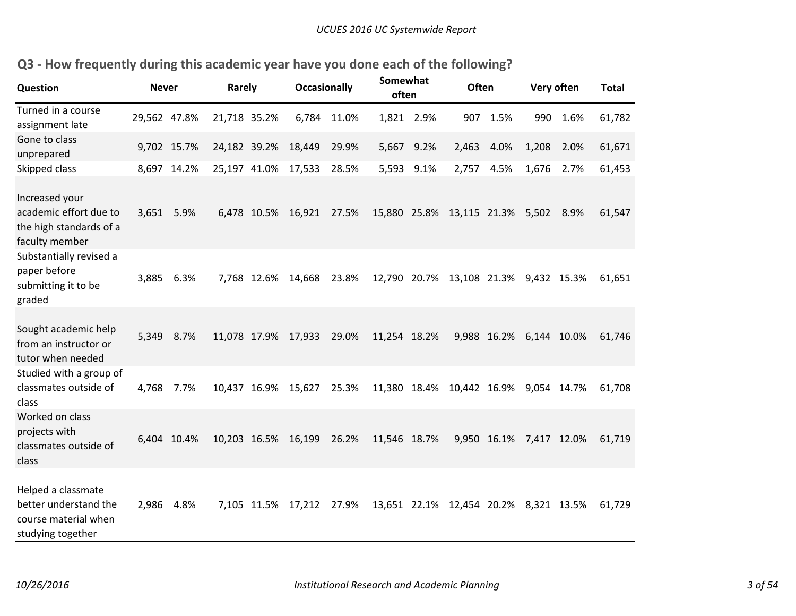| <b>Question</b>                                                                          | <b>Never</b> |             | Rarely       | <b>Occasionally</b>      |       | Somewhat<br>often |            | Often                                 |                         | Very often |      | <b>Total</b> |
|------------------------------------------------------------------------------------------|--------------|-------------|--------------|--------------------------|-------|-------------------|------------|---------------------------------------|-------------------------|------------|------|--------------|
| Turned in a course<br>assignment late                                                    | 29,562 47.8% |             | 21,718 35.2% | 6,784                    | 11.0% |                   | 1,821 2.9% | 907                                   | 1.5%                    | 990        | 1.6% | 61,782       |
| Gone to class<br>unprepared                                                              |              | 9,702 15.7% | 24,182 39.2% | 18,449                   | 29.9% |                   | 5,667 9.2% | 2,463                                 | 4.0%                    | 1,208      | 2.0% | 61,671       |
| Skipped class                                                                            |              | 8,697 14.2% | 25,197 41.0% | 17,533                   | 28.5% |                   | 5,593 9.1% | 2,757                                 | 4.5%                    | 1,676      | 2.7% | 61,453       |
| Increased your<br>academic effort due to<br>the high standards of a<br>faculty member    | 3,651        | 5.9%        |              | 6,478 10.5% 16,921       | 27.5% |                   |            | 15,880 25.8% 13,115 21.3% 5,502 8.9%  |                         |            |      | 61,547       |
| Substantially revised a<br>paper before<br>submitting it to be<br>graded                 | 3,885        | 6.3%        |              | 7,768 12.6% 14,668       | 23.8% |                   |            | 12,790 20.7% 13,108 21.3% 9,432 15.3% |                         |            |      | 61,651       |
| Sought academic help<br>from an instructor or<br>tutor when needed                       | 5,349        | 8.7%        |              | 11,078 17.9% 17,933      | 29.0% | 11,254 18.2%      |            |                                       | 9,988 16.2% 6,144 10.0% |            |      | 61,746       |
| Studied with a group of<br>classmates outside of<br>class                                | 4,768        | 7.7%        |              | 10,437 16.9% 15,627      | 25.3% |                   |            | 11,380 18.4% 10,442 16.9% 9,054 14.7% |                         |            |      | 61,708       |
| Worked on class<br>projects with<br>classmates outside of<br>class                       |              | 6,404 10.4% |              | 10,203 16.5% 16,199      | 26.2% | 11,546 18.7%      |            |                                       | 9,950 16.1% 7,417 12.0% |            |      | 61,719       |
| Helped a classmate<br>better understand the<br>course material when<br>studying together | 2,986        | 4.8%        |              | 7,105 11.5% 17,212 27.9% |       |                   |            | 13,651 22.1% 12,454 20.2% 8,321 13.5% |                         |            |      | 61,729       |

| Q3 - How frequently during this academic year have you done each of the following? |
|------------------------------------------------------------------------------------|
|------------------------------------------------------------------------------------|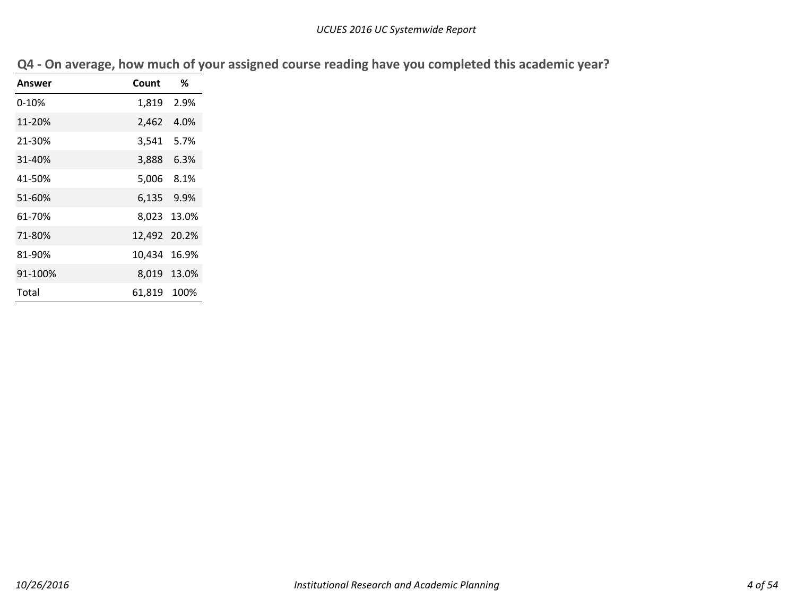| <b>Answer</b> | Count        | ℅           |
|---------------|--------------|-------------|
|               |              |             |
| $0 - 10%$     | 1,819        | 2.9%        |
| 11-20%        | 2,462        | 4.0%        |
| 21-30%        | 3,541        | 5.7%        |
| 31-40%        | 3,888        | 6.3%        |
| 41-50%        | 5,006 8.1%   |             |
| 51-60%        | 6,135 9.9%   |             |
| 61-70%        |              | 8,023 13.0% |
| 71-80%        | 12,492 20.2% |             |
| 81-90%        | 10,434       | 16.9%       |
| 91-100%       |              | 8,019 13.0% |
| Total         | 61.819       | 100%        |

| Q4 - On average, how much of your assigned course reading have you completed this academic year? |  |  |  |  |  |  |  |  |  |
|--------------------------------------------------------------------------------------------------|--|--|--|--|--|--|--|--|--|
|--------------------------------------------------------------------------------------------------|--|--|--|--|--|--|--|--|--|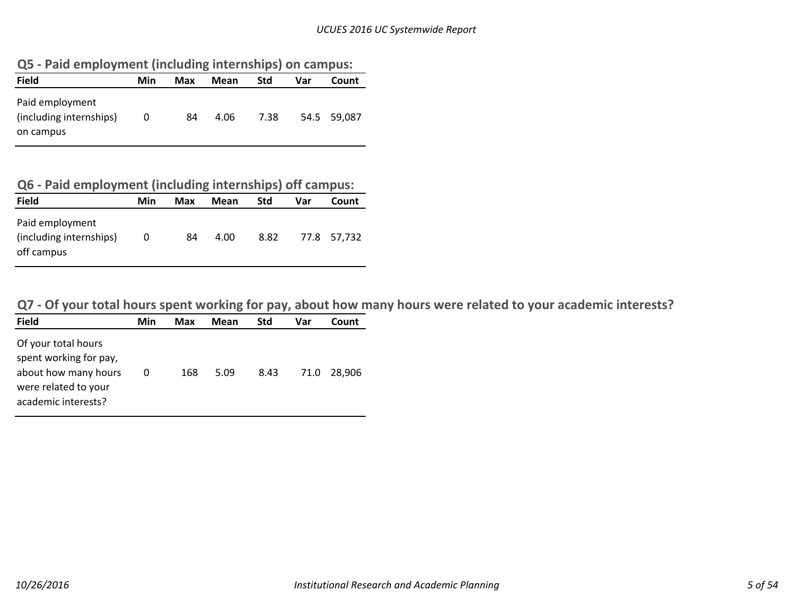| Q5 - Paid employment (including internships) on campus: |  |  |  |  |  |
|---------------------------------------------------------|--|--|--|--|--|
|---------------------------------------------------------|--|--|--|--|--|

| <b>Field</b>                                            | Min | Max | Mean | Std  | Var | Count       |
|---------------------------------------------------------|-----|-----|------|------|-----|-------------|
| Paid employment<br>(including internships)<br>on campus | 0   | 84  | 4.06 | 7.38 |     | 54.5 59.087 |

# **Q6 ‐ Paid employment (including internships) off campus:**

| <b>Field</b>                                             | Min      | Max | Mean | <b>Std</b> | Var | Count       |
|----------------------------------------------------------|----------|-----|------|------------|-----|-------------|
| Paid employment<br>(including internships)<br>off campus | $\Omega$ | 84  | 4.00 | 8.82       |     | 77.8 57,732 |

Q7 - Of your total hours spent working for pay, about how many hours were related to your academic interests?

| Of your total hours<br>spent working for pay,<br>about how many hours<br>168<br>8.43<br>5.09<br>71.0<br>0<br>were related to your<br>academic interests? | <b>Field</b> | Min | Max | Mean | <b>Std</b> | Var | Count  |
|----------------------------------------------------------------------------------------------------------------------------------------------------------|--------------|-----|-----|------|------------|-----|--------|
|                                                                                                                                                          |              |     |     |      |            |     | 28.906 |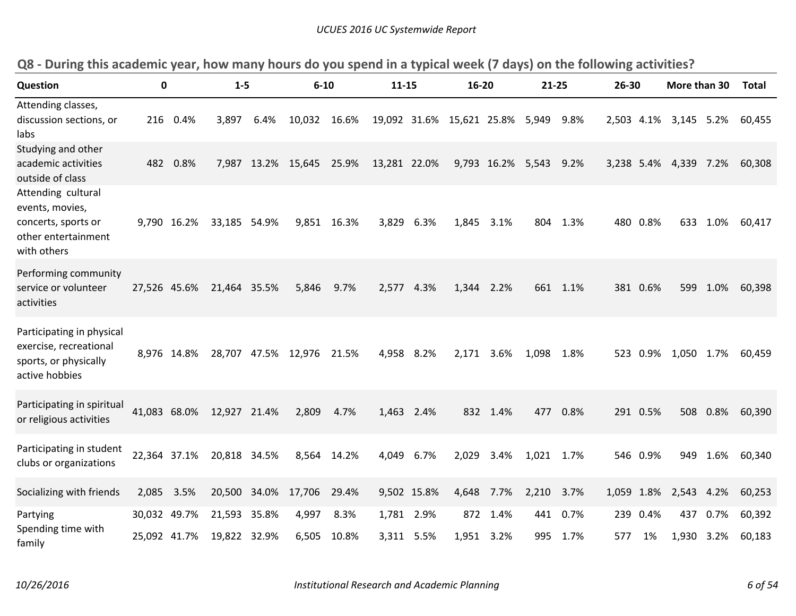| <b>Question</b>                                                                                    | 0            |             | $1 - 5$                   |       | $6 - 10$                  |             | $11 - 15$    |             | 16-20                                |                        | 21-25      |          | 26-30      |          | More than 30          |          | Total  |
|----------------------------------------------------------------------------------------------------|--------------|-------------|---------------------------|-------|---------------------------|-------------|--------------|-------------|--------------------------------------|------------------------|------------|----------|------------|----------|-----------------------|----------|--------|
| Attending classes,<br>discussion sections, or<br>labs                                              |              | 216 0.4%    | 3,897                     | 6.4%  | 10,032 16.6%              |             |              |             | 19,092 31.6% 15,621 25.8% 5,949 9.8% |                        |            |          | 2,503 4.1% |          | 3,145 5.2%            |          | 60,455 |
| Studying and other<br>academic activities<br>outside of class                                      |              | 482 0.8%    |                           |       | 7,987 13.2% 15,645 25.9%  |             | 13,281 22.0% |             |                                      | 9,793 16.2% 5,543 9.2% |            |          |            |          | 3,238 5.4% 4,339 7.2% |          | 60,308 |
| Attending cultural<br>events, movies,<br>concerts, sports or<br>other entertainment<br>with others |              | 9,790 16.2% | 33,185 54.9%              |       |                           | 9,851 16.3% | 3,829        | 6.3%        | 1,845                                | 3.1%                   |            | 804 1.3% |            | 480 0.8% |                       | 633 1.0% | 60,417 |
| Performing community<br>service or volunteer<br>activities                                         | 27,526 45.6% |             | 21,464 35.5%              |       | 5,846                     | 9.7%        | 2,577 4.3%   |             | 1,344                                | 2.2%                   |            | 661 1.1% |            | 381 0.6% |                       | 599 1.0% | 60,398 |
| Participating in physical<br>exercise, recreational<br>sports, or physically<br>active hobbies     |              | 8,976 14.8% |                           |       | 28,707 47.5% 12,976 21.5% |             | 4,958 8.2%   |             | 2,171                                | 3.6%                   | 1,098 1.8% |          |            | 523 0.9% | 1,050 1.7%            |          | 60,459 |
| Participating in spiritual<br>or religious activities                                              |              |             | 41,083 68.0% 12,927 21.4% |       | 2,809                     | 4.7%        | 1,463 2.4%   |             |                                      | 832 1.4%               |            | 477 0.8% |            | 291 0.5% |                       | 508 0.8% | 60,390 |
| Participating in student<br>clubs or organizations                                                 | 22,364 37.1% |             | 20,818 34.5%              |       |                           | 8,564 14.2% | 4,049        | 6.7%        | 2,029                                | 3.4%                   | 1,021 1.7% |          |            | 546 0.9% |                       | 949 1.6% | 60,340 |
| Socializing with friends                                                                           | 2,085 3.5%   |             | 20,500                    | 34.0% | 17,706                    | 29.4%       |              | 9,502 15.8% | 4,648                                | 7.7%                   | 2,210      | 3.7%     | 1,059 1.8% |          | 2,543 4.2%            |          | 60,253 |
| Partying                                                                                           | 30,032 49.7% |             | 21,593 35.8%              |       | 4,997                     | 8.3%        | 1,781 2.9%   |             |                                      | 872 1.4%               |            | 441 0.7% |            | 239 0.4% |                       | 437 0.7% | 60,392 |
| Spending time with<br>family                                                                       | 25,092 41.7% |             | 19,822 32.9%              |       | 6,505                     | 10.8%       |              | 3,311 5.5%  | 1,951 3.2%                           |                        |            | 995 1.7% | 577        | 1%       | 1,930 3.2%            |          | 60,183 |

Q8 - During this academic year, how many hours do you spend in a typical week (7 days) on the following activities?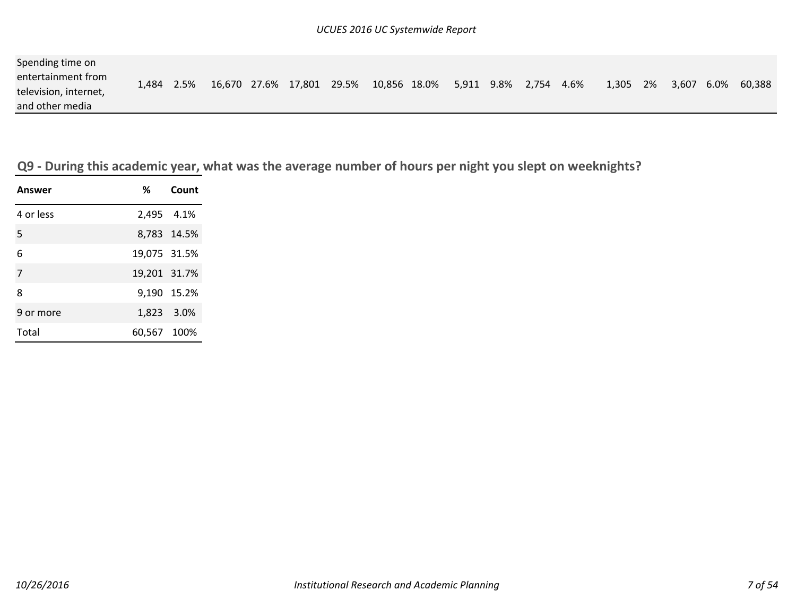| Spending time on      |       |      |                           |  |                         |  |            |       |    |       |             |
|-----------------------|-------|------|---------------------------|--|-------------------------|--|------------|-------|----|-------|-------------|
| entertainment from    | 1.484 | 2.5% | 16,670 27.6% 17,801 29.5% |  | 10,856 18.0% 5,911 9.8% |  | 2,754 4.6% | 1,305 | 2% | 3,607 | 6.0% 60,388 |
| television, internet, |       |      |                           |  |                         |  |            |       |    |       |             |
| and other media       |       |      |                           |  |                         |  |            |       |    |       |             |

Q9 - During this academic year, what was the average number of hours per night you slept on weeknights?

| <b>Answer</b> |              | % Count     |
|---------------|--------------|-------------|
| 4 or less     | 2,495 4.1%   |             |
| 5             |              | 8,783 14.5% |
| 6             | 19,075 31.5% |             |
| 7             | 19,201 31.7% |             |
| 8             |              | 9,190 15.2% |
| 9 or more     | 1,823 3.0%   |             |
| Total         | 60,567 100%  |             |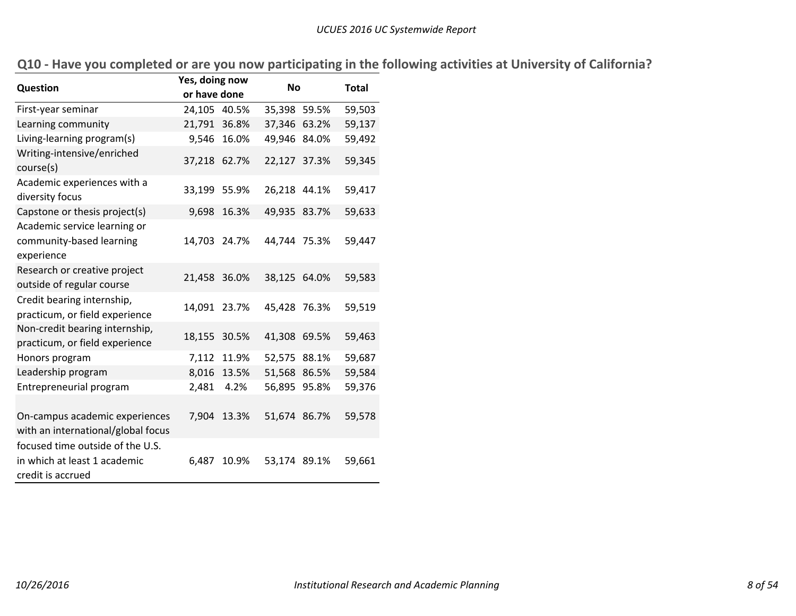|  |  | Q10 - Have you completed or are you now participating in the following activities at University of California? |
|--|--|----------------------------------------------------------------------------------------------------------------|
|--|--|----------------------------------------------------------------------------------------------------------------|

| Question                                                         | Yes, doing now |             | <b>No</b>    |  | <b>Total</b> |
|------------------------------------------------------------------|----------------|-------------|--------------|--|--------------|
|                                                                  | or have done   |             |              |  |              |
| First-year seminar                                               | 24,105         | 40.5%       | 35,398 59.5% |  | 59,503       |
| Learning community                                               | 21,791 36.8%   |             | 37,346 63.2% |  | 59,137       |
| Living-learning program(s)                                       |                | 9,546 16.0% | 49,946 84.0% |  | 59,492       |
| Writing-intensive/enriched<br>course(s)                          | 37,218 62.7%   |             | 22,127 37.3% |  | 59,345       |
| Academic experiences with a<br>diversity focus                   | 33,199 55.9%   |             | 26,218 44.1% |  | 59,417       |
| Capstone or thesis project(s)                                    | 9,698          | 16.3%       | 49,935 83.7% |  | 59,633       |
| Academic service learning or                                     |                |             |              |  |              |
| community-based learning                                         | 14,703         | 24.7%       | 44,744 75.3% |  | 59,447       |
| experience                                                       |                |             |              |  |              |
| Research or creative project                                     | 21,458 36.0%   |             | 38,125 64.0% |  | 59,583       |
| outside of regular course                                        |                |             |              |  |              |
| Credit bearing internship,                                       | 14,091 23.7%   |             | 45,428 76.3% |  | 59,519       |
| practicum, or field experience                                   |                |             |              |  |              |
| Non-credit bearing internship,<br>practicum, or field experience | 18,155 30.5%   |             | 41,308 69.5% |  | 59,463       |
| Honors program                                                   | 7,112          | 11.9%       | 52,575 88.1% |  | 59,687       |
| Leadership program                                               | 8,016          | 13.5%       | 51,568 86.5% |  | 59,584       |
| Entrepreneurial program                                          | 2,481          | 4.2%        | 56,895 95.8% |  | 59,376       |
|                                                                  |                |             |              |  |              |
| On-campus academic experiences                                   | 7,904          | 13.3%       | 51,674 86.7% |  | 59,578       |
| with an international/global focus                               |                |             |              |  |              |
| focused time outside of the U.S.                                 |                |             |              |  |              |
| in which at least 1 academic                                     | 6,487          | 10.9%       | 53,174 89.1% |  | 59,661       |
| credit is accrued                                                |                |             |              |  |              |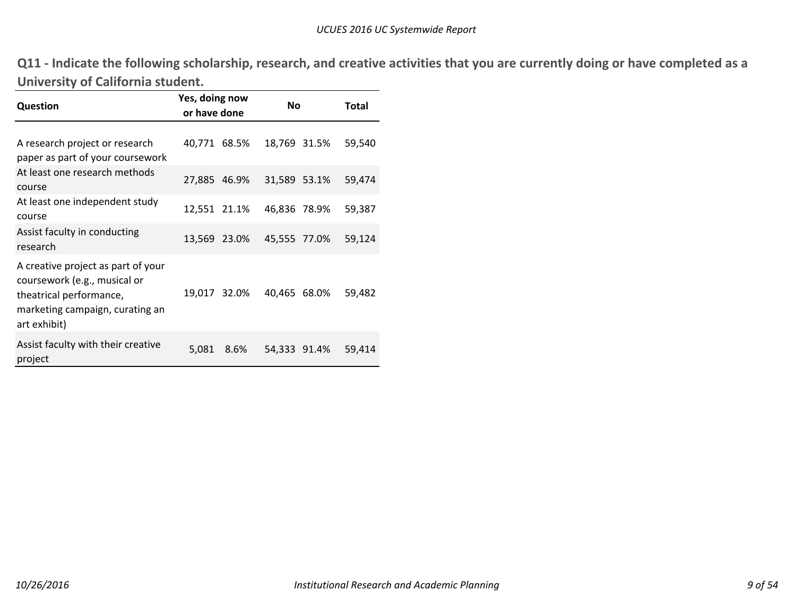Q11 - Indicate the following scholarship, research, and creative activities that you are currently doing or have completed as a **University of California student.**

| <b>Question</b>                                                                                                                                  | Yes, doing now<br>or have done |              | <b>No</b>    |              | Total  |
|--------------------------------------------------------------------------------------------------------------------------------------------------|--------------------------------|--------------|--------------|--------------|--------|
| A research project or research<br>paper as part of your coursework                                                                               |                                | 40,771 68.5% |              | 18,769 31.5% | 59,540 |
| At least one research methods<br>course                                                                                                          |                                | 27,885 46.9% | 31,589 53.1% |              | 59,474 |
| At least one independent study<br>course                                                                                                         |                                | 12,551 21.1% | 46,836 78.9% |              | 59,387 |
| Assist faculty in conducting<br>research                                                                                                         |                                | 13,569 23.0% | 45,555 77.0% |              | 59,124 |
| A creative project as part of your<br>coursework (e.g., musical or<br>theatrical performance,<br>marketing campaign, curating an<br>art exhibit) |                                | 19,017 32.0% | 40,465 68.0% |              | 59,482 |
| Assist faculty with their creative<br>project                                                                                                    | 5,081                          | 8.6%         |              | 54,333 91.4% | 59,414 |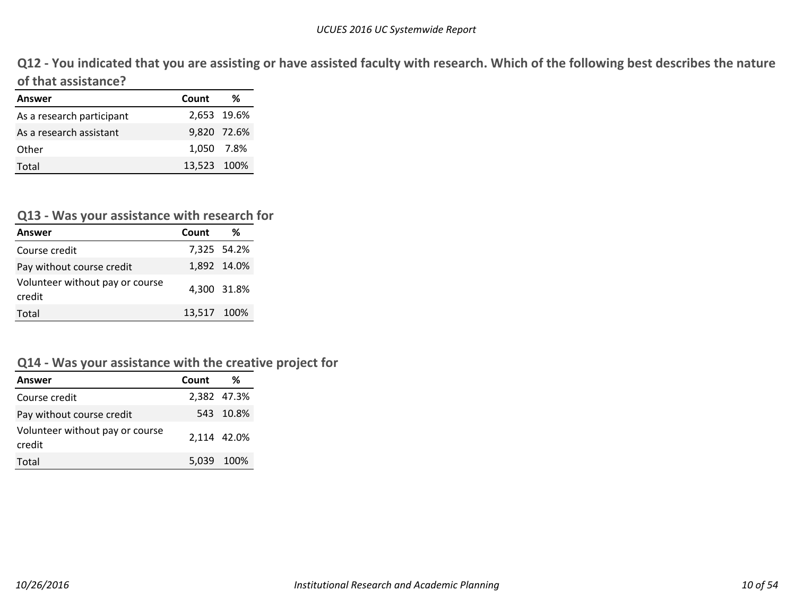Q12 - You indicated that you are assisting or have assisted faculty with research. Which of the following best describes the nature **of that assistance?**

| Answer                    | Count       | ℅           |
|---------------------------|-------------|-------------|
| As a research participant |             | 2,653 19.6% |
| As a research assistant   |             | 9,820 72.6% |
| Other                     | 1.050 7.8%  |             |
| Total                     | 13,523 100% |             |

#### **Q13 ‐ Was your assistance with research for**

| Answer                                    | Count       | %           |
|-------------------------------------------|-------------|-------------|
| Course credit                             |             | 7,325 54.2% |
| Pay without course credit                 |             | 1,892 14.0% |
| Volunteer without pay or course<br>credit |             | 4,300 31.8% |
| Total                                     | 13,517 100% |             |

#### **Q14 ‐ Was your assistance with the creative project for**

| Answer                                    | Count | %           |
|-------------------------------------------|-------|-------------|
| Course credit                             |       | 2.382 47.3% |
| Pay without course credit                 |       | 543 10.8%   |
| Volunteer without pay or course<br>credit |       | 2,114 42.0% |
| Total                                     |       | 5,039 100%  |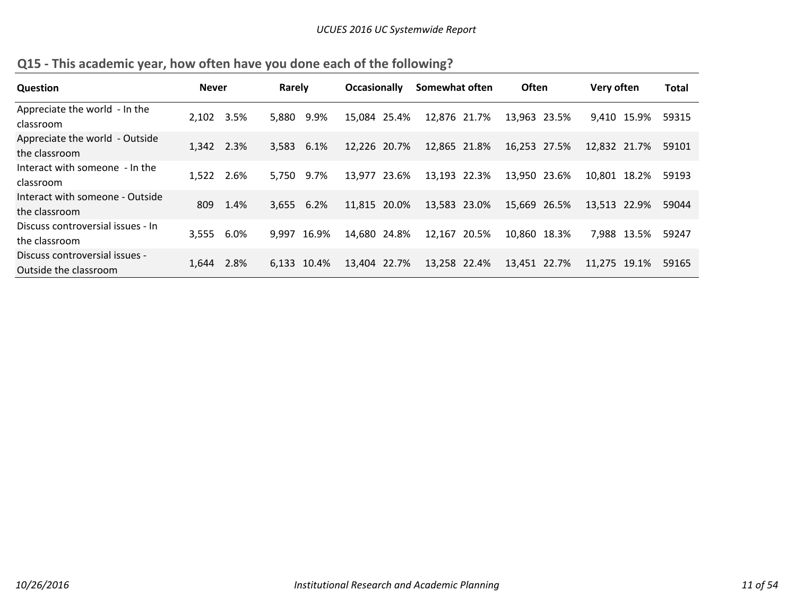| <b>Question</b>                                         | <b>Never</b> |      | Rarely     |             | <b>Occasionally</b> | Somewhat often |       | <b>Often</b> | Very often   |       | <b>Total</b> |
|---------------------------------------------------------|--------------|------|------------|-------------|---------------------|----------------|-------|--------------|--------------|-------|--------------|
| Appreciate the world - In the<br>classroom              | 2.102        | 3.5% | 5.880      | 9.9%        | 15,084 25.4%        | 12,876 21.7%   |       | 13,963 23.5% | 9.410 15.9%  |       | 59315        |
| Appreciate the world - Outside<br>the classroom         | 1,342        | 2.3% | 3,583      | 6.1%        | 12,226 20.7%        | 12,865 21.8%   |       | 16,253 27.5% | 12.832 21.7% |       | 59101        |
| Interact with someone - In the<br>classroom             | 1,522        | 2.6% | 5.750      | 9.7%        | 13,977 23.6%        | 13,193 22.3%   |       | 13,950 23.6% | 10,801 18.2% |       | 59193        |
| Interact with someone - Outside<br>the classroom        | 809          | 1.4% | 3,655 6.2% |             | 11,815 20.0%        | 13,583 23.0%   |       | 15,669 26.5% | 13,513 22.9% |       | 59044        |
| Discuss controversial issues - In<br>the classroom      | 3.555        | 6.0% | 9.997      | 16.9%       | 14,680 24.8%        | 12,167         | 20.5% | 10,860 18.3% | 7.988        | 13.5% | 59247        |
| Discuss controversial issues -<br>Outside the classroom | 1.644        | 2.8% |            | 6.133 10.4% | 13.404 22.7%        | 13,258 22.4%   |       | 13,451 22.7% | 11.275 19.1% |       | 59165        |

**Q15 ‐ This academic year, how often have you done each of the following?**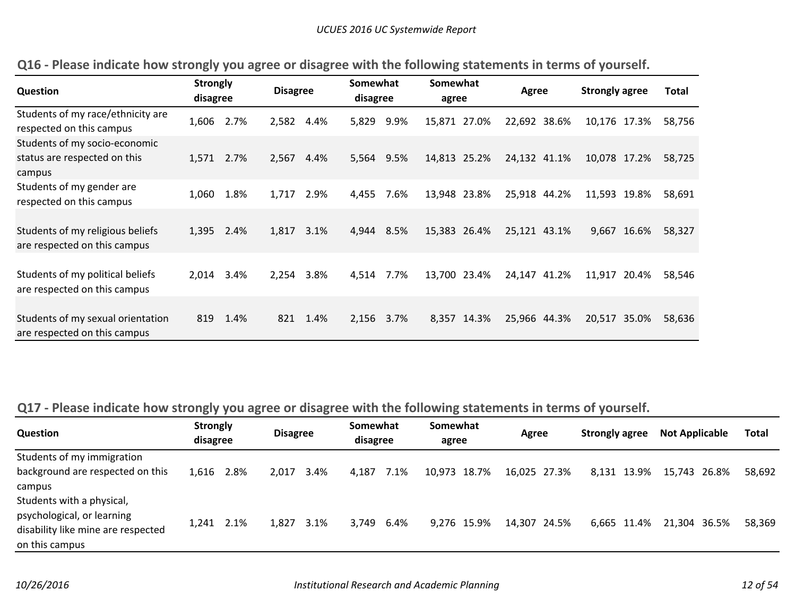| Question                                                                | <b>Strongly</b><br>disagree |      | <b>Disagree</b> |      | Somewhat<br>disagree |      | Somewhat<br>agree |             | Agree        |       | <b>Strongly agree</b> |             | <b>Total</b> |
|-------------------------------------------------------------------------|-----------------------------|------|-----------------|------|----------------------|------|-------------------|-------------|--------------|-------|-----------------------|-------------|--------------|
| Students of my race/ethnicity are<br>respected on this campus           | 1,606                       | 2.7% | 2,582           | 4.4% | 5,829                | 9.9% | 15,871 27.0%      |             | 22,692 38.6% |       | 10,176                | 17.3%       | 58,756       |
| Students of my socio-economic<br>status are respected on this<br>campus | 1,571                       | 2.7% | 2,567           | 4.4% | 5,564                | 9.5% | 14,813 25.2%      |             | 24,132 41.1% |       | 10,078                | 17.2%       | 58,725       |
| Students of my gender are<br>respected on this campus                   | 1,060                       | 1.8% | 1,717           | 2.9% | 4,455                | 7.6% | 13,948 23.8%      |             | 25,918 44.2% |       | 11,593 19.8%          |             | 58,691       |
| Students of my religious beliefs<br>are respected on this campus        | 1,395 2.4%                  |      | 1,817           | 3.1% | 4,944                | 8.5% | 15,383 26.4%      |             | 25,121 43.1% |       |                       | 9,667 16.6% | 58,327       |
| Students of my political beliefs<br>are respected on this campus        | 2.014                       | 3.4% | 2.254           | 3.8% | 4,514                | 7.7% | 13,700 23.4%      |             | 24,147       | 41.2% | 11,917                | 20.4%       | 58,546       |
| Students of my sexual orientation<br>are respected on this campus       | 819                         | 1.4% | 821             | 1.4% | 2,156                | 3.7% |                   | 8,357 14.3% | 25,966 44.3% |       | 20,517                | 35.0%       | 58,636       |

|  |  |  |  |  | Q16 - Please indicate how strongly you agree or disagree with the following statements in terms of yourself. |  |  |
|--|--|--|--|--|--------------------------------------------------------------------------------------------------------------|--|--|
|--|--|--|--|--|--------------------------------------------------------------------------------------------------------------|--|--|

# Q17 - Please indicate how strongly you agree or disagree with the following statements in terms of yourself.

| Question                                                                                                        | <b>Strongly</b><br>disagree |      | <b>Disagree</b> |       | Somewhat<br>disagree |      | Somewhat<br>agree |  | Agree        |  | <b>Strongly agree</b> |             | <b>Not Applicable</b> |  | <b>Total</b> |
|-----------------------------------------------------------------------------------------------------------------|-----------------------------|------|-----------------|-------|----------------------|------|-------------------|--|--------------|--|-----------------------|-------------|-----------------------|--|--------------|
| Students of my immigration                                                                                      |                             |      |                 |       |                      |      |                   |  |              |  |                       |             |                       |  |              |
| background are respected on this<br>campus                                                                      | 1,616 2.8%                  |      | 2.017           | -3.4% | 4.187                | 7.1% | 10,973 18.7%      |  | 16,025 27.3% |  |                       | 8.131 13.9% | 15,743 26.8%          |  | 58.692       |
| Students with a physical,<br>psychological, or learning<br>disability like mine are respected<br>on this campus | 1,241                       | 2.1% | 1.827           | 3.1%  | 3,749 6.4%           |      | 9,276 15.9%       |  | 14,307 24.5% |  |                       | 6.665 11.4% | 21,304 36.5%          |  | 58.369       |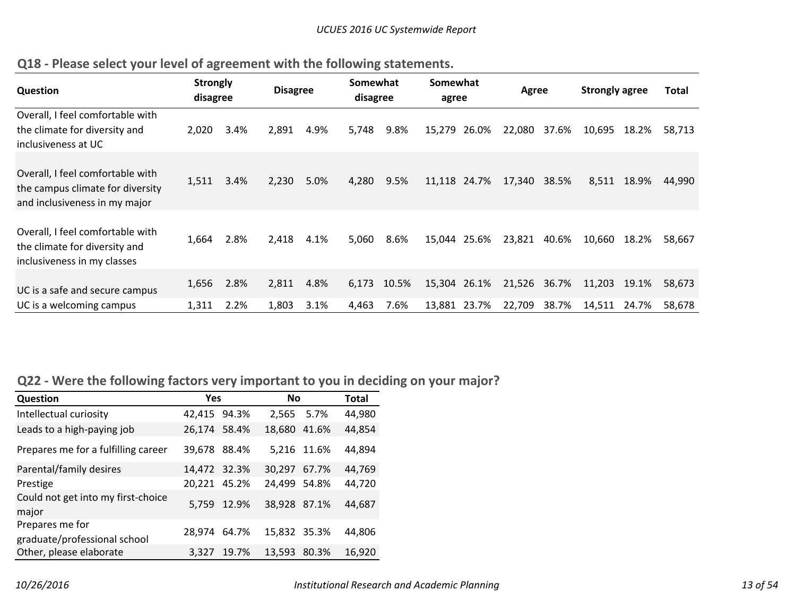| <b>Question</b>                                                                                       | <b>Strongly</b><br>disagree |              | <b>Disagree</b> |              | Somewhat<br>disagree |               | Somewhat<br>agree            |       | Agree            |                | <b>Strongly agree</b> |                | <b>Total</b>     |
|-------------------------------------------------------------------------------------------------------|-----------------------------|--------------|-----------------|--------------|----------------------|---------------|------------------------------|-------|------------------|----------------|-----------------------|----------------|------------------|
| Overall, I feel comfortable with<br>the climate for diversity and<br>inclusiveness at UC              | 2.020                       | 3.4%         | 2,891           | 4.9%         | 5,748                | 9.8%          | 15,279                       | 26.0% | 22,080           | 37.6%          | 10,695                | 18.2%          | 58,713           |
| Overall, I feel comfortable with<br>the campus climate for diversity<br>and inclusiveness in my major | 1,511                       | 3.4%         | 2,230           | 5.0%         | 4,280                | 9.5%          | 11,118 24.7%                 |       | 17,340           | 38.5%          | 8,511                 | 18.9%          | 44,990           |
| Overall, I feel comfortable with<br>the climate for diversity and<br>inclusiveness in my classes      | 1,664                       | 2.8%         | 2,418           | 4.1%         | 5,060                | 8.6%          | 15,044 25.6%                 |       | 23,821           | 40.6%          | 10,660                | 18.2%          | 58,667           |
| UC is a safe and secure campus<br>UC is a welcoming campus                                            | 1,656<br>1,311              | 2.8%<br>2.2% | 2,811<br>1,803  | 4.8%<br>3.1% | 6,173<br>4,463       | 10.5%<br>7.6% | 15,304 26.1%<br>13,881 23.7% |       | 21,526<br>22,709 | 36.7%<br>38.7% | 11,203<br>14,511      | 19.1%<br>24.7% | 58,673<br>58,678 |

# **Q18 ‐ Please select your level of agreement with the following statements.**

# **Q22 ‐ Were the following factors very important to you in deciding on your major?**

| Question                                        | <b>Yes</b>   |             | <b>No</b>    |       | <b>Total</b> |  |  |  |
|-------------------------------------------------|--------------|-------------|--------------|-------|--------------|--|--|--|
| Intellectual curiosity                          | 42,415 94.3% |             | 2.565        | 5.7%  | 44,980       |  |  |  |
| Leads to a high-paying job                      | 26,174 58.4% |             | 18,680       | 41.6% | 44,854       |  |  |  |
| Prepares me for a fulfilling career             | 39,678 88.4% |             | 5,216 11.6%  |       | 44,894       |  |  |  |
| Parental/family desires                         | 14.472 32.3% |             | 30.297       | 67.7% | 44,769       |  |  |  |
| Prestige                                        | 20,221 45.2% |             | 24,499       | 54.8% | 44,720       |  |  |  |
| Could not get into my first-choice<br>major     |              | 5,759 12.9% | 38.928 87.1% |       | 44,687       |  |  |  |
| Prepares me for<br>graduate/professional school | 28.974       | 64.7%       | 15,832 35.3% |       | 44,806       |  |  |  |
| Other, please elaborate                         | 3,327        | 19.7%       | 13,593       | 80.3% | 16,920       |  |  |  |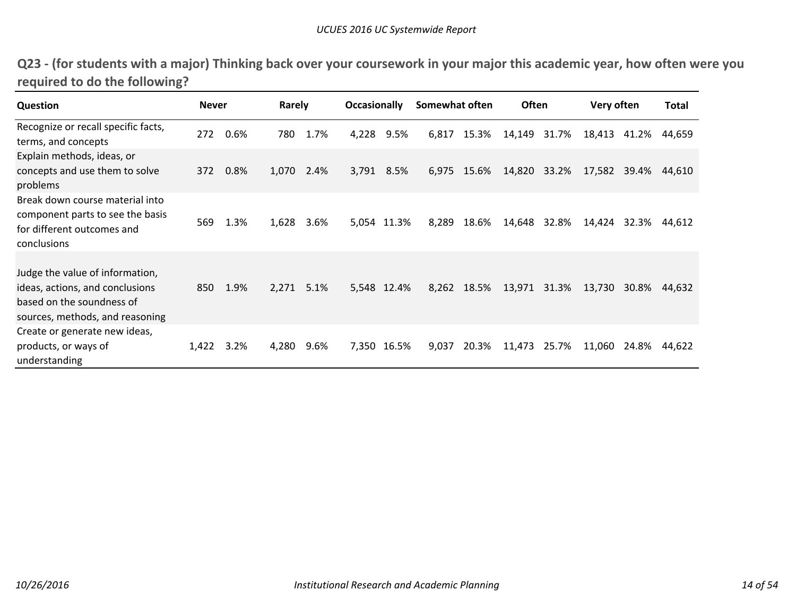| Q23 - (for students with a major) Thinking back over your coursework in your major this academic year, how often were you |  |  |
|---------------------------------------------------------------------------------------------------------------------------|--|--|
| required to do the following?                                                                                             |  |  |

| <b>Question</b>                                                                                                                    | <b>Never</b> |      | Rarely |      | <b>Occasionally</b> |             | Somewhat often |             | Often  |       | Very often |       | Total  |
|------------------------------------------------------------------------------------------------------------------------------------|--------------|------|--------|------|---------------------|-------------|----------------|-------------|--------|-------|------------|-------|--------|
| Recognize or recall specific facts,<br>terms, and concepts                                                                         | 272          | 0.6% | 780    | 1.7% | 4,228               | 9.5%        | 6,817          | 15.3%       | 14,149 | 31.7% | 18,413     | 41.2% | 44,659 |
| Explain methods, ideas, or<br>concepts and use them to solve<br>problems                                                           | 372          | 0.8% | 1,070  | 2.4% | 3,791               | 8.5%        | 6,975          | 15.6%       | 14,820 | 33.2% | 17,582     | 39.4% | 44,610 |
| Break down course material into<br>component parts to see the basis<br>for different outcomes and<br>conclusions                   | 569          | 1.3% | 1,628  | 3.6% |                     | 5,054 11.3% | 8,289          | 18.6%       | 14,648 | 32.8% | 14,424     | 32.3% | 44,612 |
| Judge the value of information,<br>ideas, actions, and conclusions<br>based on the soundness of<br>sources, methods, and reasoning | 850          | 1.9% | 2,271  | 5.1% |                     | 5,548 12.4% |                | 8,262 18.5% | 13,971 | 31.3% | 13,730     | 30.8% | 44,632 |
| Create or generate new ideas,<br>products, or ways of<br>understanding                                                             | 1,422        | 3.2% | 4,280  | 9.6% |                     | 7,350 16.5% | 9,037          | 20.3%       | 11,473 | 25.7% | 11,060     | 24.8% | 44,622 |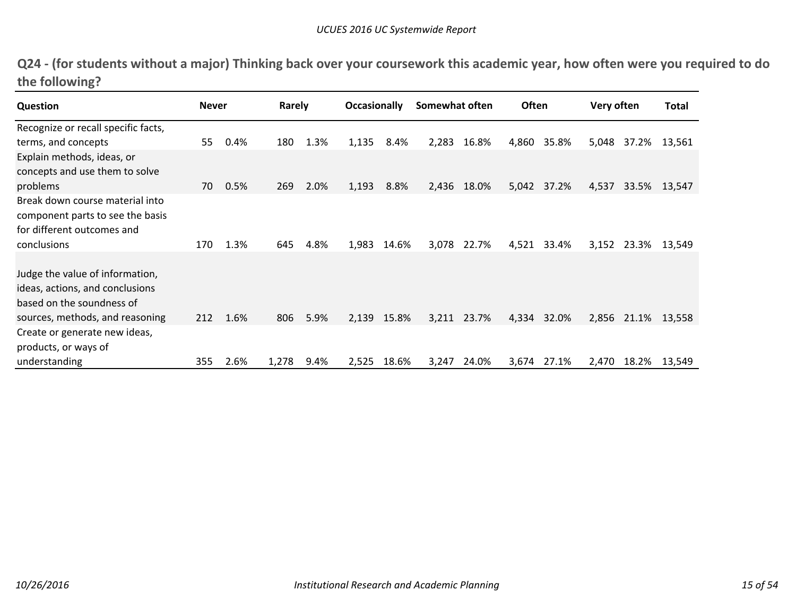Q24 - (for students without a major) Thinking back over your coursework this academic year, how often were you required to do **the following?**

| Question                                                                                                                           | <b>Never</b> |      | Rarely |      | <b>Occasionally</b> |       | Somewhat often |       | Often |       | Very often |       | Total  |
|------------------------------------------------------------------------------------------------------------------------------------|--------------|------|--------|------|---------------------|-------|----------------|-------|-------|-------|------------|-------|--------|
| Recognize or recall specific facts,                                                                                                |              |      |        |      |                     |       |                |       |       |       |            |       |        |
| terms, and concepts                                                                                                                | 55           | 0.4% | 180    | 1.3% | 1,135               | 8.4%  | 2,283          | 16.8% | 4,860 | 35.8% | 5,048      | 37.2% | 13,561 |
| Explain methods, ideas, or<br>concepts and use them to solve                                                                       |              |      |        |      |                     |       |                |       |       |       |            |       |        |
| problems                                                                                                                           | 70           | 0.5% | 269    | 2.0% | 1,193               | 8.8%  | 2,436          | 18.0% | 5,042 | 37.2% | 4,537      | 33.5% | 13,547 |
| Break down course material into<br>component parts to see the basis<br>for different outcomes and                                  |              |      |        |      |                     |       |                |       |       |       |            |       |        |
| <b>conclusions</b>                                                                                                                 | 170          | 1.3% | 645    | 4.8% | 1,983               | 14.6% | 3,078          | 22.7% | 4,521 | 33.4% | 3,152      | 23.3% | 13,549 |
| Judge the value of information,<br>ideas, actions, and conclusions<br>based on the soundness of<br>sources, methods, and reasoning | 212          | 1.6% | 806    | 5.9% | 2,139               | 15.8% | 3,211          | 23.7% | 4,334 | 32.0% | 2,856      | 21.1% | 13,558 |
| Create or generate new ideas,<br>products, or ways of                                                                              |              |      |        |      |                     |       |                |       |       |       |            |       |        |
| understanding                                                                                                                      | 355          | 2.6% | 1,278  | 9.4% | 2,525               | 18.6% | 3,247          | 24.0% | 3,674 | 27.1% | 2,470      | 18.2% | 13,549 |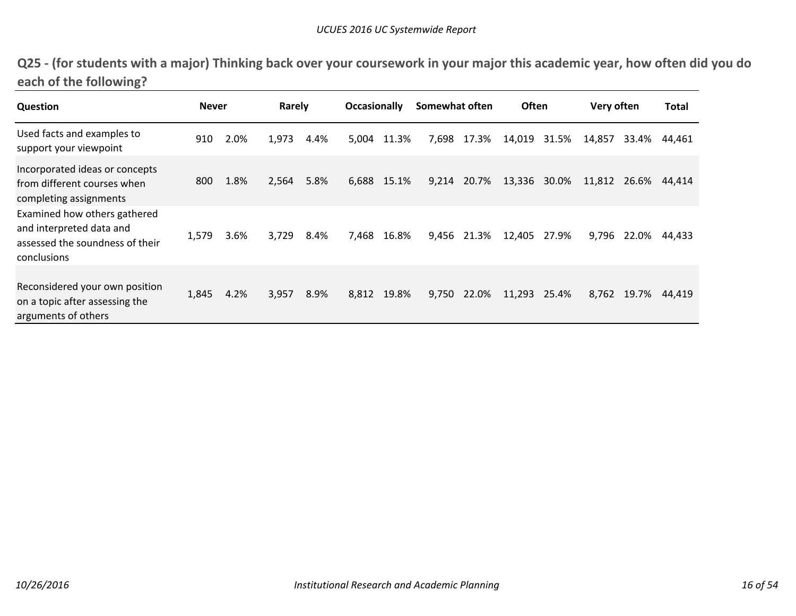| Q25 - (for students with a major) Thinking back over your coursework in your major this academic year, how often did you do |  |
|-----------------------------------------------------------------------------------------------------------------------------|--|
| each of the following?                                                                                                      |  |

| <b>Question</b>                                                                                            | <b>Never</b> |      | Rarely |      | <b>Occasionally</b> |             | Somewhat often |             | <b>Often</b> |       | Very often |       | <b>Total</b> |
|------------------------------------------------------------------------------------------------------------|--------------|------|--------|------|---------------------|-------------|----------------|-------------|--------------|-------|------------|-------|--------------|
| Used facts and examples to<br>support your viewpoint                                                       | 910          | 2.0% | 1,973  | 4.4% | 5,004               | 11.3%       | 7,698          | 17.3%       | 14,019       | 31.5% | 14,857     | 33.4% | 44,461       |
| Incorporated ideas or concepts<br>from different courses when<br>completing assignments                    | 800          | 1.8% | 2,564  | 5.8% |                     | 6,688 15.1% |                | 9,214 20.7% | 13,336 30.0% |       | 11,812     | 26.6% | 44,414       |
| Examined how others gathered<br>and interpreted data and<br>assessed the soundness of their<br>conclusions | 1,579        | 3.6% | 3,729  | 8.4% |                     | 7,468 16.8% |                | 9,456 21.3% | 12,405       | 27.9% | 9,796      | 22.0% | 44,433       |
| Reconsidered your own position<br>on a topic after assessing the<br>arguments of others                    | 1,845        | 4.2% | 3,957  | 8.9% |                     | 8,812 19.8% |                | 9,750 22.0% | 11,293       | 25.4% | 8,762      | 19.7% | 44.419       |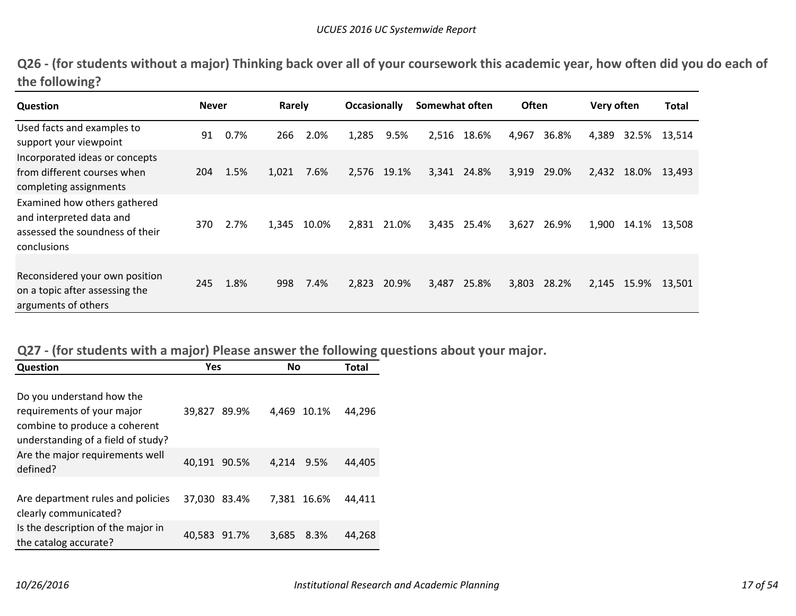|                | Q26 - (for students without a major) Thinking back over all of your coursework this academic year, how often did you do each of |  |  |
|----------------|---------------------------------------------------------------------------------------------------------------------------------|--|--|
| the following? |                                                                                                                                 |  |  |

| <b>Question</b>                                                                                            | <b>Never</b> |      | Rarely |       | <b>Occasionally</b> |       | Somewhat often |             | <b>Often</b> |       | Very often |       | Total  |
|------------------------------------------------------------------------------------------------------------|--------------|------|--------|-------|---------------------|-------|----------------|-------------|--------------|-------|------------|-------|--------|
| Used facts and examples to<br>support your viewpoint                                                       | 91           | 0.7% | 266    | 2.0%  | 1,285               | 9.5%  |                | 2,516 18.6% | 4,967        | 36.8% | 4,389      | 32.5% | 13,514 |
| Incorporated ideas or concepts<br>from different courses when<br>completing assignments                    | 204          | 1.5% | 1,021  | 7.6%  | 2,576               | 19.1% | 3,341          | 24.8%       | 3,919        | 29.0% | 2,432      | 18.0% | 13,493 |
| Examined how others gathered<br>and interpreted data and<br>assessed the soundness of their<br>conclusions | 370          | 2.7% | 1,345  | 10.0% | 2,831               | 21.0% | 3,435          | 25.4%       | 3,627        | 26.9% | 1,900      | 14.1% | 13,508 |
| Reconsidered your own position<br>on a topic after assessing the<br>arguments of others                    | 245          | 1.8% | 998    | 7.4%  | 2,823               | 20.9% | 3,487          | 25.8%       | 3,803        | 28.2% | 2,145      | 15.9% | 13,501 |

# **Q27 ‐ (for students with <sup>a</sup> major) Please answer the following questions about your major.**

| <b>Question</b>                                                                                                                | <b>Yes</b>   | Νo            | Total  |
|--------------------------------------------------------------------------------------------------------------------------------|--------------|---------------|--------|
| Do you understand how the<br>requirements of your major<br>combine to produce a coherent<br>understanding of a field of study? | 39.827 89.9% | 4.469 10.1%   | 44,296 |
| Are the major requirements well<br>defined?                                                                                    | 40,191 90.5% | 4,214 9.5%    | 44,405 |
| Are department rules and policies<br>clearly communicated?                                                                     | 37.030 83.4% | 7.381 16.6%   | 44.411 |
| Is the description of the major in<br>the catalog accurate?                                                                    | 40,583 91.7% | 3,685<br>8.3% | 44.268 |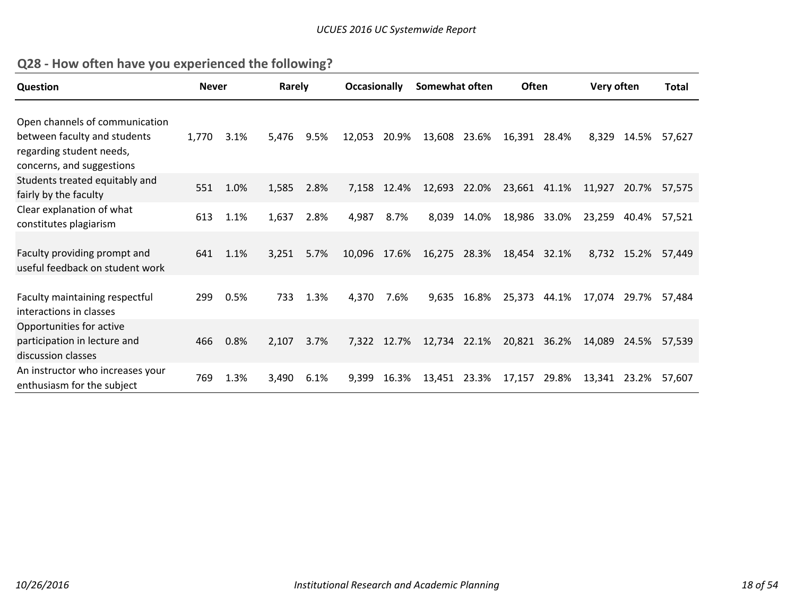| Q28 - How often have you experienced the following? |  |  |
|-----------------------------------------------------|--|--|
|-----------------------------------------------------|--|--|

| <b>Question</b>                                                                                                         | <b>Never</b> |      | Rarely |      | <b>Occasionally</b> |             | Somewhat often |              | <b>Often</b> |       | Very often |             | <b>Total</b> |
|-------------------------------------------------------------------------------------------------------------------------|--------------|------|--------|------|---------------------|-------------|----------------|--------------|--------------|-------|------------|-------------|--------------|
| Open channels of communication<br>between faculty and students<br>regarding student needs,<br>concerns, and suggestions | 1,770        | 3.1% | 5,476  | 9.5% | 12,053              | 20.9%       | 13,608         | 23.6%        | 16,391 28.4% |       | 8,329      | 14.5%       | 57,627       |
| Students treated equitably and<br>fairly by the faculty                                                                 | 551          | 1.0% | 1,585  | 2.8% | 7,158               | 12.4%       | 12,693         | 22.0%        | 23,661 41.1% |       | 11,927     | 20.7%       | 57,575       |
| Clear explanation of what<br>constitutes plagiarism                                                                     | 613          | 1.1% | 1,637  | 2.8% | 4,987               | 8.7%        | 8,039          | 14.0%        | 18,986       | 33.0% | 23,259     | 40.4%       | 57,521       |
| Faculty providing prompt and<br>useful feedback on student work                                                         | 641          | 1.1% | 3,251  | 5.7% | 10,096 17.6%        |             |                | 16,275 28.3% | 18,454 32.1% |       |            | 8,732 15.2% | 57,449       |
| Faculty maintaining respectful<br>interactions in classes                                                               | 299          | 0.5% | 733    | 1.3% | 4,370               | 7.6%        | 9,635          | 16.8%        | 25,373       | 44.1% | 17,074     | 29.7%       | 57.484       |
| Opportunities for active<br>participation in lecture and<br>discussion classes                                          | 466          | 0.8% | 2,107  | 3.7% |                     | 7,322 12.7% | 12,734 22.1%   |              | 20,821 36.2% |       | 14,089     | 24.5%       | 57.539       |
| An instructor who increases your<br>enthusiasm for the subject                                                          | 769          | 1.3% | 3,490  | 6.1% | 9.399               | 16.3%       | 13,451         | 23.3%        | 17,157       | 29.8% | 13,341     | 23.2%       | 57,607       |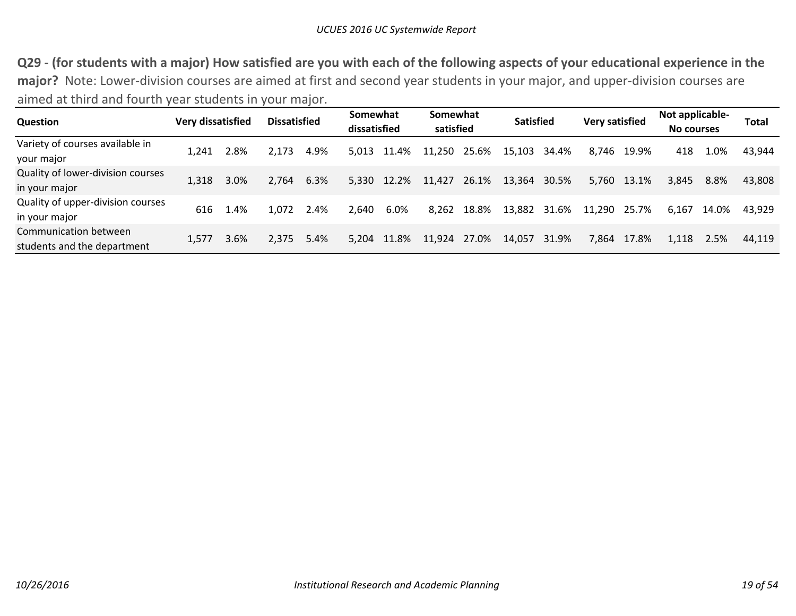Q29 - (for students with a major) How satisfied are you with each of the following aspects of your educational experience in the **major?** Note: Lower‐division courses are aimed at first and second year students in your major, and upper‐division courses are aimed at third and fourth year students in your major.

| Question                                             | Very dissatisfied |      | <b>Dissatisfied</b> |      | Somewhat<br>dissatisfied |            | Somewhat<br>satisfied |       | <b>Satisfied</b> |       | <b>Very satisfied</b> |       | Not applicable-<br>No courses |       | Total  |
|------------------------------------------------------|-------------------|------|---------------------|------|--------------------------|------------|-----------------------|-------|------------------|-------|-----------------------|-------|-------------------------------|-------|--------|
| Variety of courses available in<br>your major        | 1.241             | 2.8% | 2.173               | 4.9% | 5.013                    | .4%<br>-11 | 11,250                | 25.6% | 15,103           | 34.4% | 8.746                 | 19.9% | 418                           | 1.0%  | 43,944 |
| Quality of lower-division courses<br>in your major   | 1,318             | 3.0% | 2,764               | 6.3% | 5,330                    | 12.2%      | 11,427                | 26.1% | 13,364           | 30.5% | 5,760                 | 13.1% | 3,845                         | 8.8%  | 43,808 |
| Quality of upper-division courses<br>in your major   | 616               | 1.4% | 1,072               | 2.4% | 2.640                    | 6.0%       | 8.262                 | 18.8% | 13,882           | 31.6% | 11,290                | 25.7% | 6.167                         | 14.0% | 43.929 |
| Communication between<br>students and the department | 1,577             | 3.6% | 2.375               | 5.4% | 5.204                    | 11.8%      | 11,924                | 27.0% | 14.057           | 31.9% | 7,864                 | 17.8% | 1.118                         | 2.5%  | 44.119 |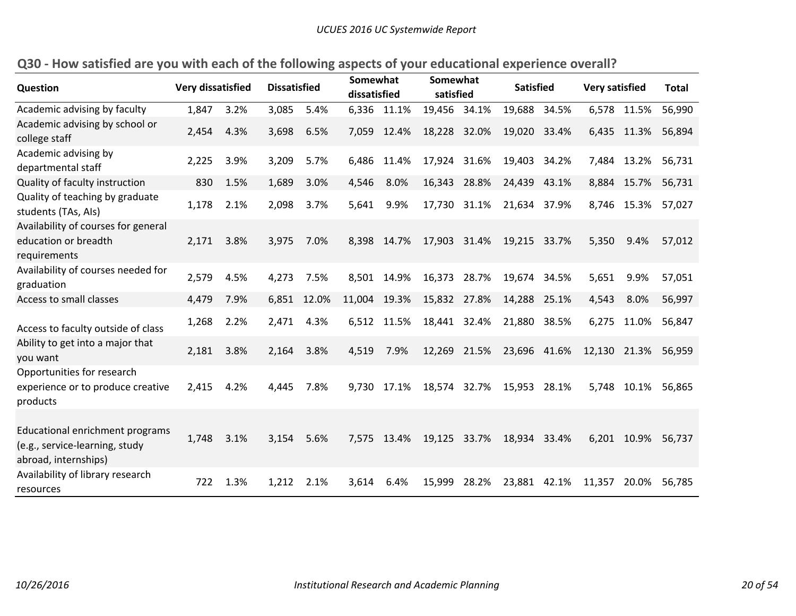| Question                                                                                  | <b>Very dissatisfied</b> |      | <b>Dissatisfied</b> |       | Somewhat<br>dissatisfied |             | Somewhat<br>satisfied |              | <b>Satisfied</b> |         | <b>Very satisfied</b> |             | <b>Total</b> |
|-------------------------------------------------------------------------------------------|--------------------------|------|---------------------|-------|--------------------------|-------------|-----------------------|--------------|------------------|---------|-----------------------|-------------|--------------|
| Academic advising by faculty                                                              | 1,847                    | 3.2% | 3,085               | 5.4%  |                          | 6,336 11.1% | 19,456                | 34.1%        | 19,688           | 34.5%   |                       | 6,578 11.5% | 56,990       |
| Academic advising by school or<br>college staff                                           | 2,454                    | 4.3% | 3,698               | 6.5%  | 7,059                    | 12.4%       | 18,228 32.0%          |              | 19,020 33.4%     |         | 6,435                 | 11.3%       | 56,894       |
| Academic advising by<br>departmental staff                                                | 2,225                    | 3.9% | 3,209               | 5.7%  | 6,486                    | 11.4%       | 17,924                | 31.6%        | 19,403           | - 34.2% | 7,484                 | 13.2%       | 56,731       |
| Quality of faculty instruction                                                            | 830                      | 1.5% | 1,689               | 3.0%  | 4,546                    | 8.0%        | 16,343                | 28.8%        | 24,439           | 43.1%   | 8,884                 | 15.7%       | 56,731       |
| Quality of teaching by graduate<br>students (TAs, AIs)                                    | 1,178                    | 2.1% | 2,098               | 3.7%  | 5,641                    | 9.9%        |                       | 17,730 31.1% | 21,634 37.9%     |         | 8,746                 | 15.3%       | 57,027       |
| Availability of courses for general<br>education or breadth<br>requirements               | 2,171                    | 3.8% | 3,975               | 7.0%  |                          | 8,398 14.7% |                       | 17,903 31.4% | 19,215 33.7%     |         | 5,350                 | 9.4%        | 57,012       |
| Availability of courses needed for<br>graduation                                          | 2,579                    | 4.5% | 4,273               | 7.5%  | 8,501                    | 14.9%       | 16,373                | 28.7%        | 19,674           | 34.5%   | 5,651                 | 9.9%        | 57,051       |
| Access to small classes                                                                   | 4,479                    | 7.9% | 6,851               | 12.0% | 11,004                   | 19.3%       | 15,832                | 27.8%        | 14,288           | 25.1%   | 4,543                 | 8.0%        | 56,997       |
| Access to faculty outside of class                                                        | 1,268                    | 2.2% | 2,471               | 4.3%  | 6,512                    | 11.5%       | 18,441 32.4%          |              | 21,880           | 38.5%   | 6,275                 | 11.0%       | 56,847       |
| Ability to get into a major that<br>you want                                              | 2,181                    | 3.8% | 2,164               | 3.8%  | 4,519                    | 7.9%        |                       | 12,269 21.5% | 23,696           | 41.6%   | 12,130                |             | 21.3% 56,959 |
| Opportunities for research<br>experience or to produce creative<br>products               | 2,415                    | 4.2% | 4,445               | 7.8%  | 9,730                    | 17.1%       | 18,574                | 32.7%        | 15,953 28.1%     |         | 5,748                 | 10.1%       | 56,865       |
| Educational enrichment programs<br>(e.g., service-learning, study<br>abroad, internships) | 1,748                    | 3.1% | 3,154               | 5.6%  | 7,575                    | 13.4%       | 19,125 33.7%          |              | 18,934 33.4%     |         | 6,201                 | 10.9%       | 56,737       |
| Availability of library research<br>resources                                             | 722                      | 1.3% | 1,212               | 2.1%  | 3,614                    | 6.4%        | 15,999                | 28.2%        | 23,881 42.1%     |         | 11,357                | 20.0%       | 56,785       |

# Q30 - How satisfied are you with each of the following aspects of your educational experience overall?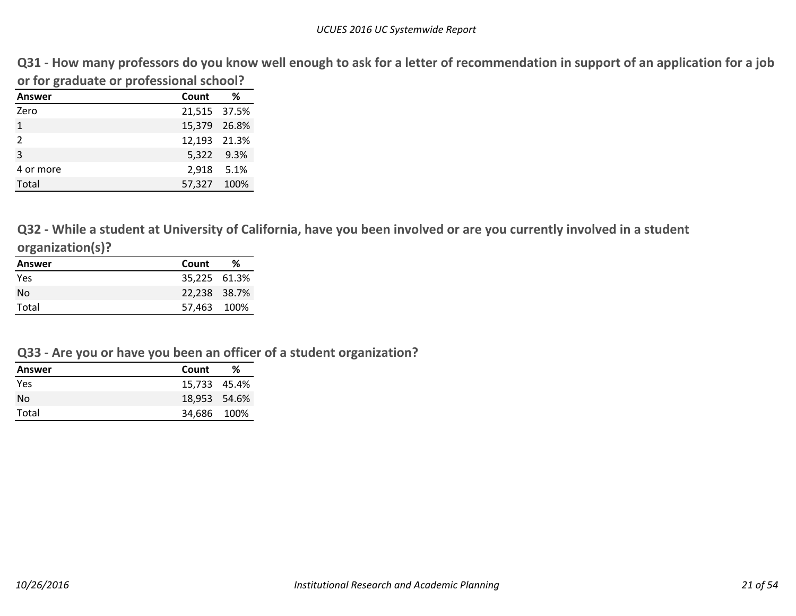Q31 - How many professors do you know well enough to ask for a letter of recommendation in support of an application for a job **or for graduate or professional school?**

| Answer       | Count        | %          |
|--------------|--------------|------------|
| Zero         | 21,515 37.5% |            |
| $\mathbf{1}$ | 15,379 26.8% |            |
| 2            | 12,193 21.3% |            |
| 3            |              | 5,322 9.3% |
| 4 or more    | 2,918 5.1%   |            |
| Total        | 57,327 100%  |            |

Q32 - While a student at University of California, have you been involved or are you currently involved in a student **organization(s)?**

| Answer | Count        | ℅ |
|--------|--------------|---|
| Yes    | 35,225 61.3% |   |
| No     | 22,238 38.7% |   |
| Total  | 57,463 100%  |   |

#### **Q33 ‐ Are you or have you been an officer of <sup>a</sup> student organization?**

| Answer     | Count        | ℅ |
|------------|--------------|---|
| <b>Yes</b> | 15.733 45.4% |   |
| No         | 18,953 54.6% |   |
| Total      | 34,686 100%  |   |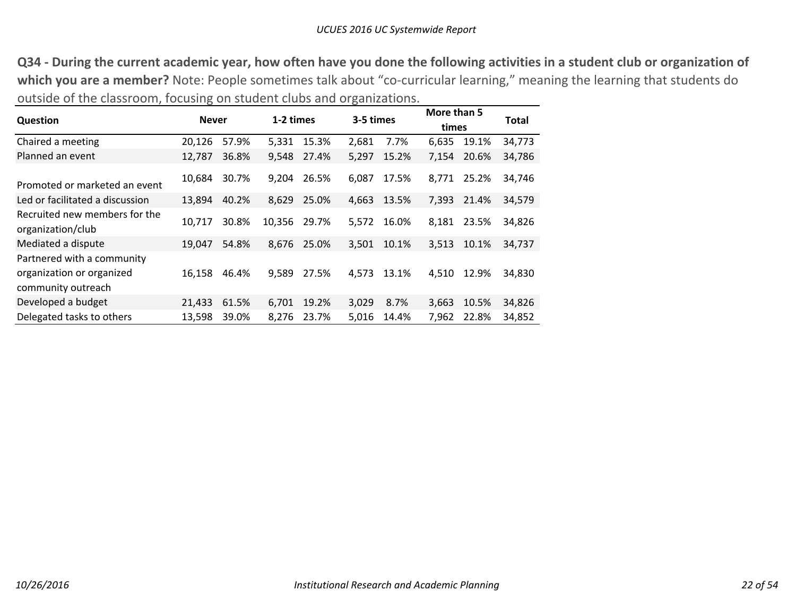Q34 - During the current academic year, how often have you done the following activities in a student club or organization of **which you are <sup>a</sup> member?** Note: People sometimes talk about "co‐curricular learning," meaning the learning that students do outside of the classroom, focusing on student clubs and organizations.

|                                                                               | <b>Never</b> |       | 1-2 times |       | 3-5 times |       | More than 5 |       | Total  |  |
|-------------------------------------------------------------------------------|--------------|-------|-----------|-------|-----------|-------|-------------|-------|--------|--|
| Question                                                                      |              |       |           |       |           |       | times       |       |        |  |
| Chaired a meeting                                                             | 20,126       | 57.9% | 5,331     | 15.3% | 2,681     | 7.7%  | 6,635       | 19.1% | 34,773 |  |
| Planned an event                                                              | 12,787       | 36.8% | 9,548     | 27.4% | 5,297     | 15.2% | 7,154       | 20.6% | 34,786 |  |
| Promoted or marketed an event                                                 | 10,684       | 30.7% | 9,204     | 26.5% | 6,087     | 17.5% | 8,771       | 25.2% | 34,746 |  |
| Led or facilitated a discussion                                               | 13,894       | 40.2% | 8,629     | 25.0% | 4,663     | 13.5% | 7,393       | 21.4% | 34,579 |  |
| Recruited new members for the<br>organization/club                            | 10.717       | 30.8% | 10,356    | 29.7% | 5.572     | 16.0% | 8.181       | 23.5% | 34,826 |  |
| Mediated a dispute                                                            | 19,047       | 54.8% | 8,676     | 25.0% | 3,501     | 10.1% | 3,513       | 10.1% | 34,737 |  |
| Partnered with a community<br>organization or organized<br>community outreach | 16,158       | 46.4% | 9,589     | 27.5% | 4,573     | 13.1% | 4,510       | 12.9% | 34,830 |  |
| Developed a budget                                                            | 21,433       | 61.5% | 6,701     | 19.2% | 3,029     | 8.7%  | 3,663       | 10.5% | 34,826 |  |
| Delegated tasks to others                                                     | 13,598       | 39.0% | 8,276     | 23.7% | 5,016     | 14.4% | 7,962       | 22.8% | 34,852 |  |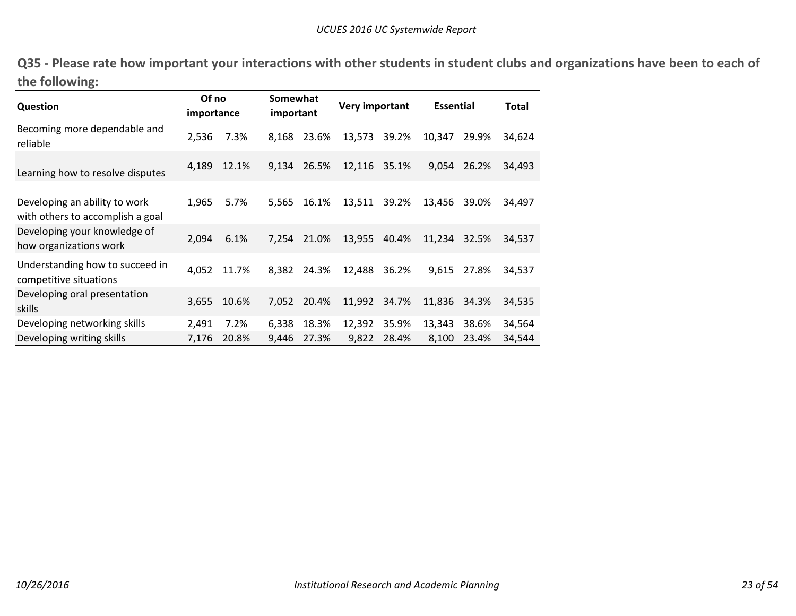Q35 - Please rate how important your interactions with other students in student clubs and organizations have been to each of **the following:**

| <b>Question</b>                                                   | Of no<br>importance |       | Somewhat<br>important |       | Very important |       | <b>Essential</b> | <b>Total</b> |        |
|-------------------------------------------------------------------|---------------------|-------|-----------------------|-------|----------------|-------|------------------|--------------|--------|
| Becoming more dependable and<br>reliable                          | 2,536               | 7.3%  | 8,168                 | 23.6% | 13,573         | 39.2% | 10,347           | 29.9%        | 34,624 |
| Learning how to resolve disputes                                  | 4,189               | 12.1% | 9,134                 | 26.5% | 12,116         | 35.1% | 9,054            | 26.2%        | 34,493 |
| Developing an ability to work<br>with others to accomplish a goal | 1,965               | 5.7%  | 5,565                 | 16.1% | 13,511         | 39.2% | 13,456           | 39.0%        | 34,497 |
| Developing your knowledge of<br>how organizations work            | 2,094               | 6.1%  | 7.254                 | 21.0% | 13,955         | 40.4% | 11,234           | 32.5%        | 34,537 |
| Understanding how to succeed in<br>competitive situations         | 4,052               | 11.7% | 8.382                 | 24.3% | 12,488         | 36.2% | 9,615            | 27.8%        | 34,537 |
| Developing oral presentation<br>skills                            | 3,655               | 10.6% | 7.052                 | 20.4% | 11,992         | 34.7% | 11,836           | 34.3%        | 34,535 |
| Developing networking skills                                      | 2,491               | 7.2%  | 6,338                 | 18.3% | 12,392         | 35.9% | 13,343           | 38.6%        | 34,564 |
| Developing writing skills                                         | 7,176               | 20.8% | 9,446                 | 27.3% | 9,822          | 28.4% | 8,100            | 23.4%        | 34,544 |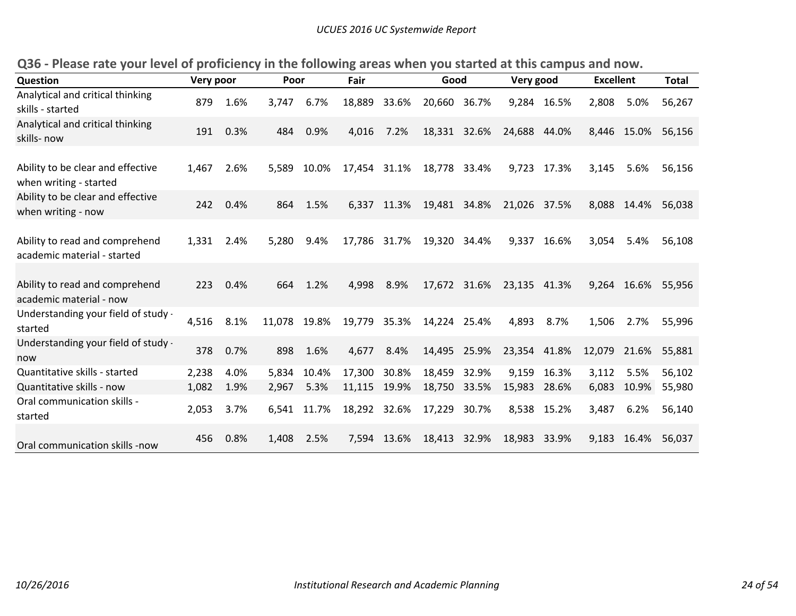| Question                                                      | Very poor |      | Poor   |       | Fair   |              | Good         |              | Very good    |       | <b>Excellent</b> |       | <b>Total</b> |
|---------------------------------------------------------------|-----------|------|--------|-------|--------|--------------|--------------|--------------|--------------|-------|------------------|-------|--------------|
| Analytical and critical thinking<br>skills - started          | 879       | 1.6% | 3,747  | 6.7%  | 18,889 | 33.6%        | 20,660       | 36.7%        | 9,284        | 16.5% | 2,808            | 5.0%  | 56,267       |
| Analytical and critical thinking<br>skills- now               | 191       | 0.3% | 484    | 0.9%  | 4,016  | 7.2%         |              | 18,331 32.6% | 24,688 44.0% |       | 8,446            | 15.0% | 56,156       |
| Ability to be clear and effective<br>when writing - started   | 1,467     | 2.6% | 5,589  | 10.0% | 17,454 | 31.1%        | 18,778       | 33.4%        | 9,723        | 17.3% | 3,145            | 5.6%  | 56,156       |
| Ability to be clear and effective<br>when writing - now       | 242       | 0.4% | 864    | 1.5%  | 6,337  | 11.3%        | 19,481       | 34.8%        | 21,026 37.5% |       | 8,088            | 14.4% | 56,038       |
| Ability to read and comprehend<br>academic material - started | 1,331     | 2.4% | 5,280  | 9.4%  |        | 17,786 31.7% | 19,320       | 34.4%        | 9,337        | 16.6% | 3,054            | 5.4%  | 56,108       |
| Ability to read and comprehend<br>academic material - now     | 223       | 0.4% | 664    | 1.2%  | 4,998  | 8.9%         |              | 17,672 31.6% | 23,135 41.3% |       | 9,264            |       | 16.6% 55,956 |
| Understanding your field of study -<br>started                | 4,516     | 8.1% | 11,078 | 19.8% | 19,779 | 35.3%        | 14,224 25.4% |              | 4,893        | 8.7%  | 1,506            | 2.7%  | 55,996       |
| Understanding your field of study -<br>now                    | 378       | 0.7% | 898    | 1.6%  | 4,677  | 8.4%         | 14,495 25.9% |              | 23,354 41.8% |       | 12,079           | 21.6% | 55,881       |
| Quantitative skills - started                                 | 2,238     | 4.0% | 5,834  | 10.4% | 17,300 | 30.8%        | 18,459       | 32.9%        | 9,159        | 16.3% | 3,112            | 5.5%  | 56,102       |
| Quantitative skills - now                                     | 1,082     | 1.9% | 2,967  | 5.3%  | 11,115 | 19.9%        | 18,750       | 33.5%        | 15,983       | 28.6% | 6,083            | 10.9% | 55,980       |
| Oral communication skills -<br>started                        | 2,053     | 3.7% | 6,541  | 11.7% | 18,292 | 32.6%        | 17,229       | 30.7%        | 8,538        | 15.2% | 3,487            | 6.2%  | 56,140       |
| Oral communication skills -now                                | 456       | 0.8% | 1,408  | 2.5%  | 7.594  | 13.6%        | 18,413       | 32.9%        | 18,983       | 33.9% | 9,183            | 16.4% | 56,037       |

Q36 - Please rate your level of proficiency in the following areas when you started at this campus and now.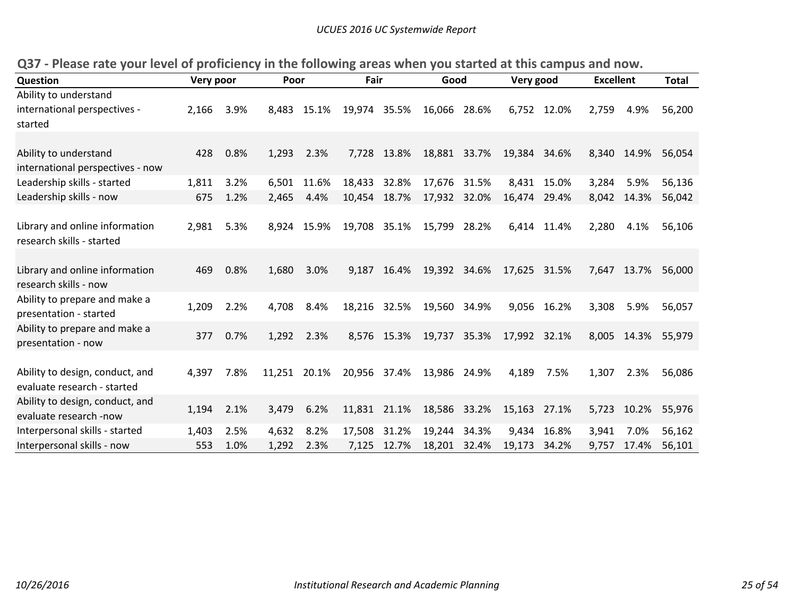| Question                         | Very poor |      | Poor   |             | Fair         |             | Good         |       | Very good    |             | <b>Excellent</b> |       | <b>Total</b> |
|----------------------------------|-----------|------|--------|-------------|--------------|-------------|--------------|-------|--------------|-------------|------------------|-------|--------------|
| Ability to understand            |           |      |        |             |              |             |              |       |              |             |                  |       |              |
| international perspectives -     | 2,166     | 3.9% | 8,483  | 15.1%       | 19,974 35.5% |             | 16,066 28.6% |       |              | 6,752 12.0% | 2,759            | 4.9%  | 56,200       |
| started                          |           |      |        |             |              |             |              |       |              |             |                  |       |              |
|                                  |           |      |        |             |              |             |              |       |              |             |                  |       |              |
| Ability to understand            | 428       | 0.8% | 1,293  | 2.3%        | 7,728        | 13.8%       | 18,881 33.7% |       | 19,384 34.6% |             | 8,340            | 14.9% | 56,054       |
| international perspectives - now |           |      |        |             |              |             |              |       |              |             |                  |       |              |
| Leadership skills - started      | 1,811     | 3.2% | 6,501  | 11.6%       | 18,433       | 32.8%       | 17,676       | 31.5% | 8,431        | 15.0%       | 3,284            | 5.9%  | 56,136       |
| Leadership skills - now          | 675       | 1.2% | 2,465  | 4.4%        | 10,454       | 18.7%       | 17,932       | 32.0% | 16,474       | 29.4%       | 8,042            | 14.3% | 56,042       |
|                                  |           |      |        |             |              |             |              |       |              |             |                  |       |              |
| Library and online information   | 2,981     | 5.3% |        | 8,924 15.9% | 19,708       | 35.1%       | 15,799       | 28.2% |              | 6,414 11.4% | 2,280            | 4.1%  | 56,106       |
| research skills - started        |           |      |        |             |              |             |              |       |              |             |                  |       |              |
|                                  |           |      |        |             |              |             |              |       |              |             |                  |       |              |
| Library and online information   | 469       | 0.8% | 1,680  | 3.0%        | 9,187        | 16.4%       | 19,392 34.6% |       | 17,625 31.5% |             | 7,647            | 13.7% | 56,000       |
| research skills - now            |           |      |        |             |              |             |              |       |              |             |                  |       |              |
| Ability to prepare and make a    |           |      |        |             |              |             |              |       |              |             |                  |       |              |
| presentation - started           | 1,209     | 2.2% | 4,708  | 8.4%        | 18,216       | 32.5%       | 19,560       | 34.9% | 9,056        | 16.2%       | 3,308            | 5.9%  | 56,057       |
| Ability to prepare and make a    |           |      |        |             |              |             |              |       |              |             |                  |       |              |
| presentation - now               | 377       | 0.7% | 1,292  | 2.3%        |              | 8,576 15.3% | 19,737 35.3% |       | 17,992 32.1% |             | 8,005            | 14.3% | 55,979       |
|                                  |           |      |        |             |              |             |              |       |              |             |                  |       |              |
| Ability to design, conduct, and  | 4,397     | 7.8% | 11,251 | 20.1%       | 20,956 37.4% |             | 13,986       | 24.9% | 4,189        | 7.5%        | 1,307            | 2.3%  | 56,086       |
| evaluate research - started      |           |      |        |             |              |             |              |       |              |             |                  |       |              |
| Ability to design, conduct, and  |           |      |        |             |              |             |              |       |              |             |                  |       |              |
| evaluate research -now           | 1,194     | 2.1% | 3,479  | 6.2%        | 11,831       | 21.1%       | 18,586       | 33.2% | 15,163 27.1% |             | 5,723            | 10.2% | 55,976       |
| Interpersonal skills - started   | 1,403     | 2.5% | 4,632  | 8.2%        | 17,508       | 31.2%       | 19,244       | 34.3% | 9,434        | 16.8%       | 3,941            | 7.0%  | 56,162       |
| Interpersonal skills - now       | 553       | 1.0% | 1,292  | 2.3%        | 7,125        | 12.7%       | 18,201       | 32.4% | 19,173       | 34.2%       | 9,757            | 17.4% | 56,101       |

Q37 - Please rate your level of proficiency in the following areas when you started at this campus and now.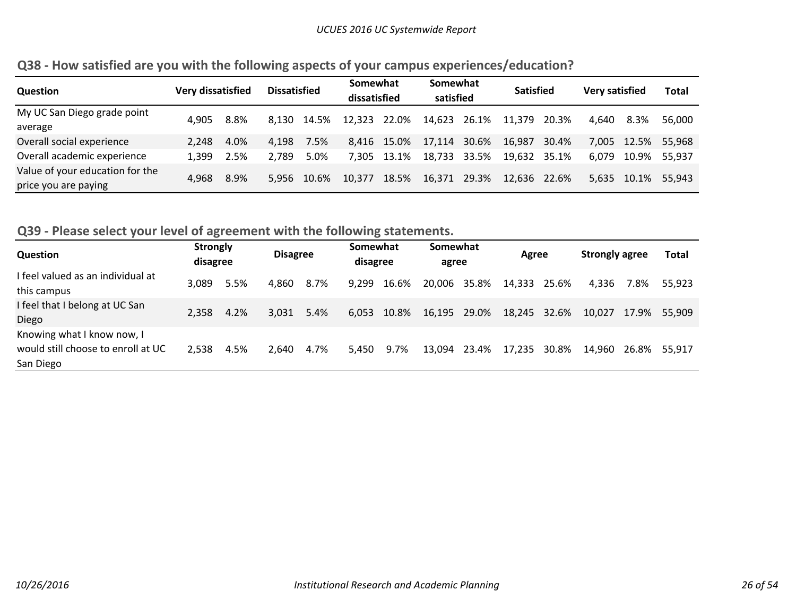| <b>Question</b>                 | Very dissatisfied |      | <b>Dissatisfied</b> |             | Somewhat<br>dissatisfied |             | Somewhat<br>satisfied |       | <b>Satisfied</b> |       | Very satisfied |             | <b>Total</b> |
|---------------------------------|-------------------|------|---------------------|-------------|--------------------------|-------------|-----------------------|-------|------------------|-------|----------------|-------------|--------------|
| My UC San Diego grade point     | 4.905             | 8.8% |                     | 8,130 14.5% | 12,323 22.0%             |             | 14,623                | 26.1% | 11.379           | 20.3% | 4.640          | 8.3%        | 56.000       |
| average                         |                   |      |                     |             |                          |             |                       |       |                  |       |                |             |              |
| Overall social experience       | 2.248             | 4.0% | 4,198               | 7.5%        |                          | 8,416 15.0% | 17.114                | 30.6% | 16,987           | 30.4% | 7,005          | 12.5%       | 55.968       |
| Overall academic experience     | 1,399             | 2.5% | 2.789               | 5.0%        |                          | 7,305 13.1% | 18,733                | 33.5% | 19,632 35.1%     |       | 6.079          | 10.9%       | 55,937       |
| Value of your education for the | 4,968             | 8.9% |                     | 5,956 10.6% | 10.377                   | 18.5%       | 16,371                | 29.3% | 12,636 22.6%     |       |                | 5,635 10.1% | 55.943       |
| price you are paying            |                   |      |                     |             |                          |             |                       |       |                  |       |                |             |              |

# **Q38 ‐ How satisfied are you with the following aspects of your campus experiences/education?**

#### **Q39 ‐ Please select your level of agreement with the following statements.**

| <b>Question</b>                                                               | <b>Strongly</b><br>disagree |      | <b>Disagree</b> |      | Somewhat<br>disagree |       | Somewhat<br>agree |       | Agree  |       | Strongly agree |       | <b>Total</b> |
|-------------------------------------------------------------------------------|-----------------------------|------|-----------------|------|----------------------|-------|-------------------|-------|--------|-------|----------------|-------|--------------|
| I feel valued as an individual at<br>this campus                              | 3.089                       | 5.5% | 4,860           | 8.7% | 9.299                | 16.6% | 20,006 35.8%      |       | 14,333 | 25.6% | 4,336          | 7.8%  | 55.923       |
| I feel that I belong at UC San<br>Diego                                       | 2.358                       | 4.2% | 3,031           | 5.4% | 6,053                | 10.8% | 16,195            | 29.0% | 18,245 | 32.6% | 10.027         | 17.9% | 55.909       |
| Knowing what I know now, I<br>would still choose to enroll at UC<br>San Diego | 2,538                       | 4.5% | 2,640           | 4.7% | 5,450                | 9.7%  | 13,094            | 23.4% | 17,235 | 30.8% | 14,960         | 26.8% | 55.917       |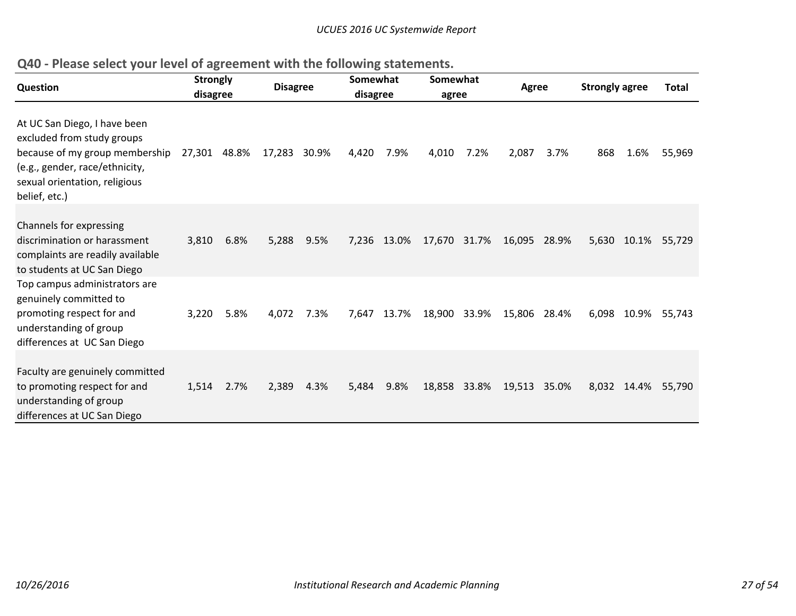| <b>Question</b>                                                                                                                                                                  | <b>Strongly</b><br>disagree |      | <b>Disagree</b> |      | Somewhat<br>disagree |             | Somewhat<br>agree |              | <b>Agree</b> |      | <b>Strongly agree</b> |             | <b>Total</b>       |
|----------------------------------------------------------------------------------------------------------------------------------------------------------------------------------|-----------------------------|------|-----------------|------|----------------------|-------------|-------------------|--------------|--------------|------|-----------------------|-------------|--------------------|
| At UC San Diego, I have been<br>excluded from study groups<br>because of my group membership<br>(e.g., gender, race/ethnicity,<br>sexual orientation, religious<br>belief, etc.) | 27,301 48.8%                |      | 17,283 30.9%    |      | 4,420                | 7.9%        | 4,010             | 7.2%         | 2,087        | 3.7% | 868                   | 1.6%        | 55,969             |
| <b>Channels for expressing</b><br>discrimination or harassment<br>complaints are readily available<br>to students at UC San Diego                                                | 3,810                       | 6.8% | 5,288           | 9.5% |                      | 7,236 13.0% | 17,670 31.7%      |              | 16,095 28.9% |      |                       |             | 5,630 10.1% 55,729 |
| Top campus administrators are<br>genuinely committed to<br>promoting respect for and<br>understanding of group<br>differences at UC San Diego                                    | 3,220                       | 5.8% | 4,072           | 7.3% | 7,647                | 13.7%       | 18,900 33.9%      |              | 15,806 28.4% |      | 6,098                 | 10.9%       | 55,743             |
| Faculty are genuinely committed<br>to promoting respect for and<br>understanding of group<br>differences at UC San Diego                                                         | 1,514                       | 2.7% | 2,389           | 4.3% | 5,484                | 9.8%        |                   | 18,858 33.8% | 19,513 35.0% |      |                       | 8,032 14.4% | 55,790             |

**Q40 ‐ Please select your level of agreement with the following statements.**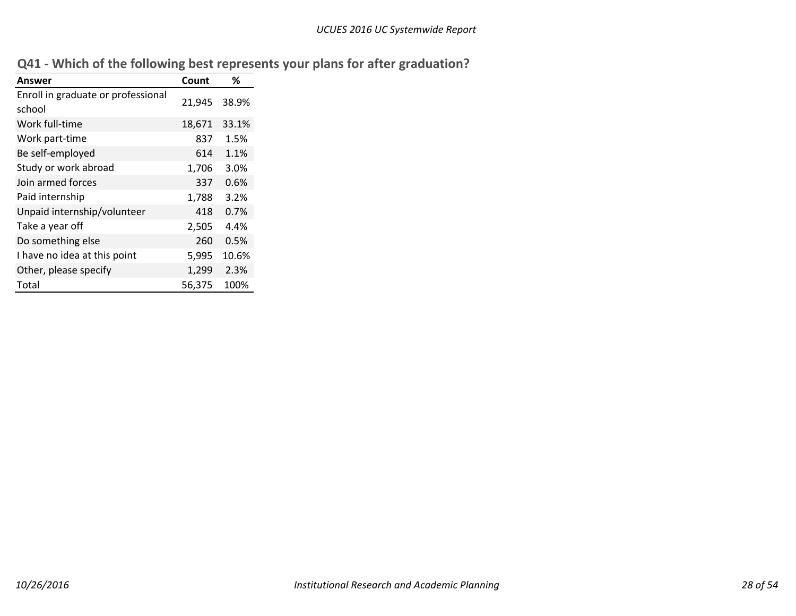|  |  |  |  |  |  | Q41 - Which of the following best represents your plans for after graduation? |  |
|--|--|--|--|--|--|-------------------------------------------------------------------------------|--|
|--|--|--|--|--|--|-------------------------------------------------------------------------------|--|

| Answer                                       | Count  | ℅     |
|----------------------------------------------|--------|-------|
| Enroll in graduate or professional<br>school | 21,945 | 38.9% |
| Work full-time                               | 18,671 | 33.1% |
| Work part-time                               | 837    | 1.5%  |
| Be self-employed                             | 614    | 1.1%  |
| Study or work abroad                         | 1,706  | 3.0%  |
| Join armed forces                            | 337    | 0.6%  |
| Paid internship                              | 1,788  | 3.2%  |
| Unpaid internship/volunteer                  | 418    | 0.7%  |
| Take a year off                              | 2,505  | 4.4%  |
| Do something else                            | 260    | 0.5%  |
| I have no idea at this point                 | 5,995  | 10.6% |
| Other, please specify                        | 1,299  | 2.3%  |
| Total                                        | 56,375 | 100%  |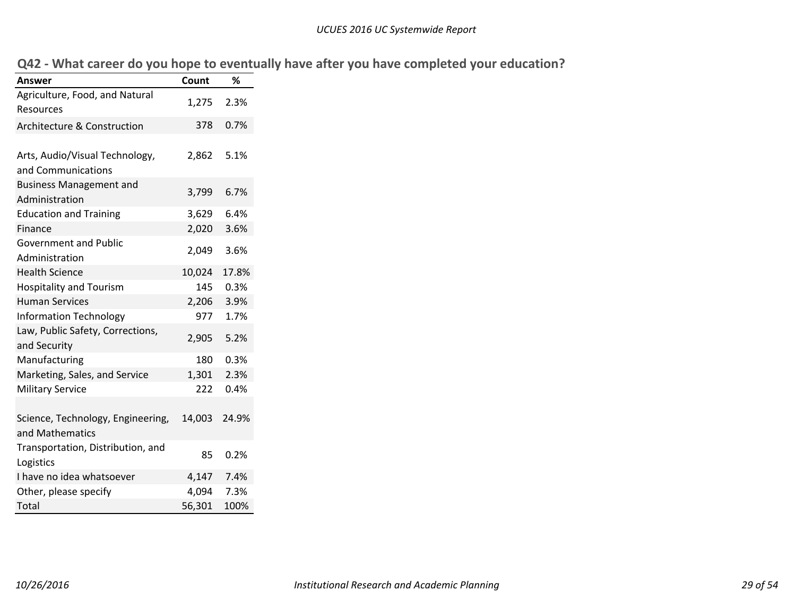|  |  |  | Q42 - What career do you hope to eventually have after you have completed your education? |
|--|--|--|-------------------------------------------------------------------------------------------|
|--|--|--|-------------------------------------------------------------------------------------------|

| Answer                                               | Count  | %     |
|------------------------------------------------------|--------|-------|
| Agriculture, Food, and Natural<br>Resources          | 1,275  | 2.3%  |
| Architecture & Construction                          | 378    | 0.7%  |
| Arts, Audio/Visual Technology,<br>and Communications | 2,862  | 5.1%  |
| <b>Business Management and</b><br>Administration     | 3,799  | 6.7%  |
| <b>Education and Training</b>                        | 3,629  | 6.4%  |
| Finance                                              | 2,020  | 3.6%  |
| <b>Government and Public</b><br>Administration       | 2,049  | 3.6%  |
| <b>Health Science</b>                                | 10,024 | 17.8% |
| <b>Hospitality and Tourism</b>                       | 145    | 0.3%  |
| <b>Human Services</b>                                | 2,206  | 3.9%  |
| <b>Information Technology</b>                        | 977    | 1.7%  |
| Law, Public Safety, Corrections,<br>and Security     | 2,905  | 5.2%  |
| Manufacturing                                        | 180    | 0.3%  |
| Marketing, Sales, and Service                        | 1,301  | 2.3%  |
| <b>Military Service</b>                              | 222    | 0.4%  |
| Science, Technology, Engineering,<br>and Mathematics | 14,003 | 24.9% |
| Transportation, Distribution, and<br>Logistics       | 85     | 0.2%  |
| I have no idea whatsoever                            | 4,147  | 7.4%  |
| Other, please specify                                | 4,094  | 7.3%  |
| Total                                                | 56,301 | 100%  |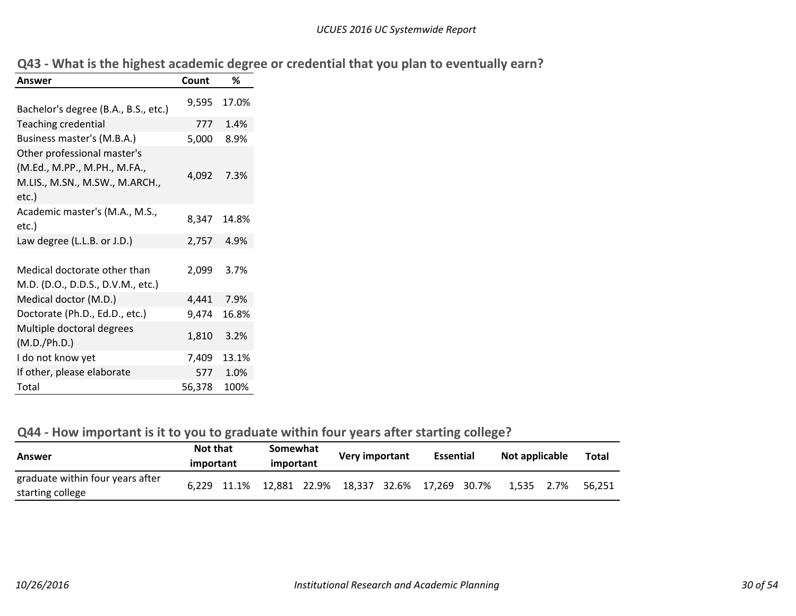|  | Q43 - What is the highest academic degree or credential that you plan to eventually earn? |  |  |
|--|-------------------------------------------------------------------------------------------|--|--|
|--|-------------------------------------------------------------------------------------------|--|--|

| Answer                                                                                                 | Count  | %     |
|--------------------------------------------------------------------------------------------------------|--------|-------|
| Bachelor's degree (B.A., B.S., etc.)                                                                   | 9,595  | 17.0% |
|                                                                                                        |        |       |
| <b>Teaching credential</b>                                                                             | 777    | 1.4%  |
| Business master's (M.B.A.)                                                                             | 5,000  | 8.9%  |
| Other professional master's<br>(M.Ed., M.PP., M.PH., M.FA.,<br>M.LIS., M.SN., M.SW., M.ARCH.,<br>etc.) | 4,092  | 7.3%  |
| Academic master's (M.A., M.S.,<br>etc.)                                                                | 8,347  | 14.8% |
| Law degree (L.L.B. or J.D.)                                                                            | 2,757  | 4.9%  |
| Medical doctorate other than<br>M.D. (D.O., D.D.S., D.V.M., etc.)                                      | 2,099  | 3.7%  |
| Medical doctor (M.D.)                                                                                  | 4,441  | 7.9%  |
| Doctorate (Ph.D., Ed.D., etc.)                                                                         | 9,474  | 16.8% |
| Multiple doctoral degrees<br>(M.D./Ph.D.)                                                              | 1,810  | 3.2%  |
| I do not know yet                                                                                      | 7,409  | 13.1% |
| If other, please elaborate                                                                             | 577    | 1.0%  |
| Total                                                                                                  | 56,378 | 100%  |

# **Q44 ‐ How important is it to you to graduate within four years after starting college?**

| Answer                                               | <b>Not that</b><br>important                       | Somewhat<br>important | <b>Very important</b> | <b>Essential</b> | Not applicable | Total  |
|------------------------------------------------------|----------------------------------------------------|-----------------------|-----------------------|------------------|----------------|--------|
| graduate within four years after<br>starting college | 6,229 11.1% 12,881 22.9% 18,337 32.6% 17,269 30.7% |                       |                       |                  | 1,535 2.7%     | 56.251 |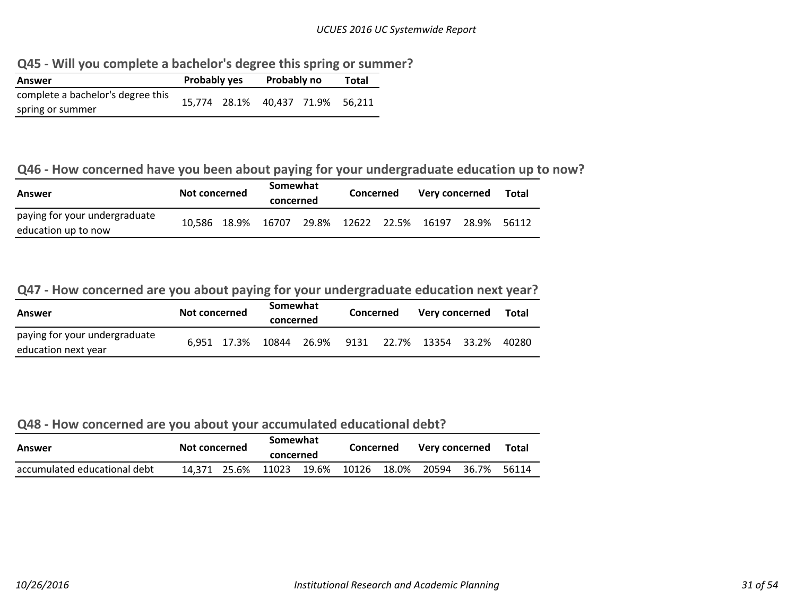**Q45 ‐ Will you complete <sup>a</sup> bachelor's degree this spring or summer?**

| Answer                            | <b>Probably yes</b> | Probably no               | Total |        |
|-----------------------------------|---------------------|---------------------------|-------|--------|
| complete a bachelor's degree this |                     | 15,774 28.1% 40,437 71.9% |       | 56.211 |
| spring or summer                  |                     |                           |       |        |

#### **Q46 ‐ How concerned have you been about paying for your undergraduate education up to now?**

| Answer                                               | Not concerned |  | Somewhat<br>concerned                      |  | Concerned |  | Very concerned |       | <b>Total</b> |
|------------------------------------------------------|---------------|--|--------------------------------------------|--|-----------|--|----------------|-------|--------------|
| paying for your undergraduate<br>education up to now |               |  | 10,586 18.9% 16707 29.8% 12622 22.5% 16197 |  |           |  |                | 28.9% | 56112        |

#### **Q47 ‐ How concerned are you about paying for your undergraduate education next year?**

| Answer                                               | Not concerned |  | Somewhat<br>concerned |  | Concerned |  | Very concerned                                 |  | Total |
|------------------------------------------------------|---------------|--|-----------------------|--|-----------|--|------------------------------------------------|--|-------|
| paying for your undergraduate<br>education next year |               |  |                       |  |           |  | 6,951 17.3% 10844 26.9% 9131 22.7% 13354 33.2% |  | 40280 |

#### **Q48 ‐ How concerned are you about your accumulated educational debt?**

| Answer                       | Not concerned | Somewhat<br>concerned |                   | Concerned |       | Very concerned |       | Total |
|------------------------------|---------------|-----------------------|-------------------|-----------|-------|----------------|-------|-------|
| accumulated educational debt | 14.371 25.6%  |                       | 11023 19.6% 10126 |           | 18.0% | 20594          | 36.7% | 56114 |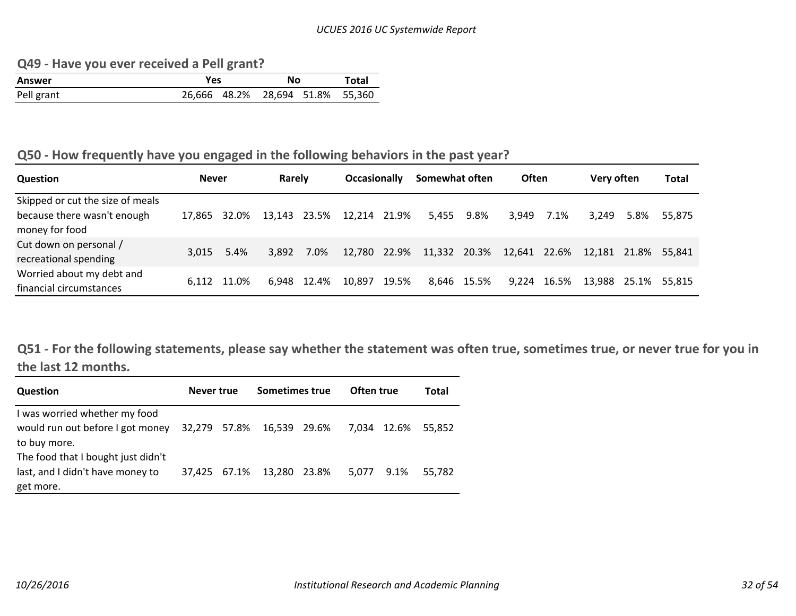**Q49 ‐ Have you ever received <sup>a</sup> Pell grant?**

| Answer     | Yes | No                               | Total |  |  |
|------------|-----|----------------------------------|-------|--|--|
| Pell grant |     | 26,666 48.2% 28,694 51.8% 55,360 |       |  |  |

#### **Q50 ‐ How frequently have you engaged in the following behaviors in the past year?**

| <b>Question</b>                                                                   | <b>Never</b> |             | Rarely       |             | <b>Occasionally</b> |       | Somewhat often                         |             | <b>Often</b> |       | Very often   |       | <b>Total</b> |
|-----------------------------------------------------------------------------------|--------------|-------------|--------------|-------------|---------------------|-------|----------------------------------------|-------------|--------------|-------|--------------|-------|--------------|
| Skipped or cut the size of meals<br>because there wasn't enough<br>money for food | 17.865       | 32.0%       | 13,143 23.5% |             | 12,214 21.9%        |       |                                        | 5,455 9.8%  | 3.949        | 7.1%  | 3.249        | 5.8%  | 55.875       |
| Cut down on personal /<br>recreational spending                                   | 3.015        | 5.4%        | 3,892        | 7.0%        |                     |       | 12,780 22.9% 11,332 20.3% 12,641 22.6% |             |              |       | 12.181 21.8% |       | 55.841       |
| Worried about my debt and<br>financial circumstances                              |              | 6.112 11.0% |              | 6.948 12.4% | 10,897              | 19.5% |                                        | 8,646 15.5% | 9.224        | 16.5% | 13.988       | 25.1% | 55.815       |

Q51 - For the following statements, please say whether the statement was often true, sometimes true, or never true for you in **the last 12 months.**

| <b>Question</b>                                                   | Never true   | Sometimes true | Often true |             | Total  |
|-------------------------------------------------------------------|--------------|----------------|------------|-------------|--------|
| I was worried whether my food<br>would run out before I got money | 32.279 57.8% | 16,539 29.6%   |            | 7.034 12.6% | 55.852 |
| to buy more.<br>The food that I bought just didn't                |              |                |            |             |        |
| last, and I didn't have money to<br>get more.                     | 37.425 67.1% | 13,280 23.8%   | 5.077      | 9.1%        | 55.782 |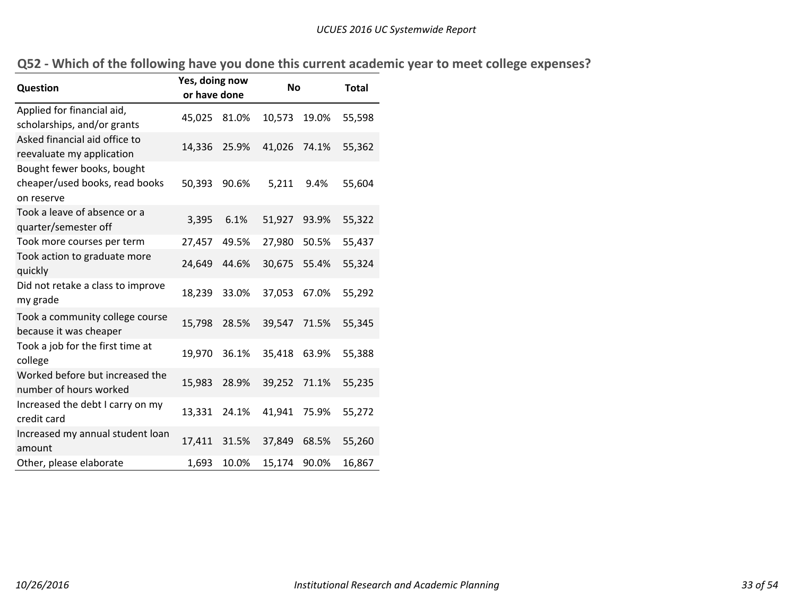|  |  |  |  |  |  | Q52 - Which of the following have you done this current academic year to meet college expenses? |
|--|--|--|--|--|--|-------------------------------------------------------------------------------------------------|
|--|--|--|--|--|--|-------------------------------------------------------------------------------------------------|

| Question                                                                   | Yes, doing now<br>or have done |       | No     |       | <b>Total</b> |
|----------------------------------------------------------------------------|--------------------------------|-------|--------|-------|--------------|
| Applied for financial aid,<br>scholarships, and/or grants                  | 45,025                         | 81.0% | 10,573 | 19.0% | 55,598       |
| Asked financial aid office to<br>reevaluate my application                 | 14,336                         | 25.9% | 41,026 | 74.1% | 55,362       |
| Bought fewer books, bought<br>cheaper/used books, read books<br>on reserve | 50,393                         | 90.6% | 5,211  | 9.4%  | 55,604       |
| Took a leave of absence or a<br>quarter/semester off                       | 3,395                          | 6.1%  | 51,927 | 93.9% | 55,322       |
| Took more courses per term                                                 | 27,457                         | 49.5% | 27,980 | 50.5% | 55,437       |
| Took action to graduate more<br>quickly                                    | 24,649                         | 44.6% | 30,675 | 55.4% | 55,324       |
| Did not retake a class to improve<br>my grade                              | 18,239                         | 33.0% | 37,053 | 67.0% | 55,292       |
| Took a community college course<br>because it was cheaper                  | 15,798                         | 28.5% | 39,547 | 71.5% | 55,345       |
| Took a job for the first time at<br>college                                | 19,970                         | 36.1% | 35,418 | 63.9% | 55,388       |
| Worked before but increased the<br>number of hours worked                  | 15,983                         | 28.9% | 39,252 | 71.1% | 55,235       |
| Increased the debt I carry on my<br>credit card                            | 13,331                         | 24.1% | 41,941 | 75.9% | 55,272       |
| Increased my annual student loan<br>amount                                 | 17,411                         | 31.5% | 37,849 | 68.5% | 55,260       |
| Other, please elaborate                                                    | 1,693                          | 10.0% | 15,174 | 90.0% | 16,867       |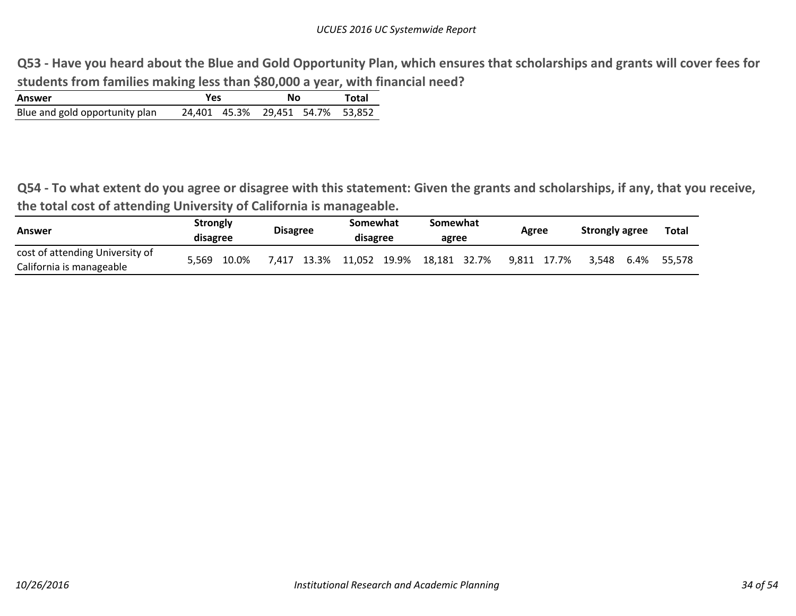Q53 - Have you heard about the Blue and Gold Opportunity Plan, which ensures that scholarships and grants will cover fees for **students from families making less than \$80,000 <sup>a</sup> year, with financial need?**

| Answer                         | Yes | Nο                               | Total |  |
|--------------------------------|-----|----------------------------------|-------|--|
| Blue and gold opportunity plan |     | 24.401 45.3% 29.451 54.7% 53.852 |       |  |

Q54 - To what extent do you agree or disagree with this statement: Given the grants and scholarships, if any, that you receive, **the total cost of attending University of California is manageable.**  $\overline{\phantom{a}}$ 

| Answer                          | <b>Strongly</b><br>disagree |       | <b>Disagree</b> |             | Somewhat<br>disagree | Somewhat<br>agree | Agree |             | <b>Strongly agree</b> |      | <b>Total</b> |
|---------------------------------|-----------------------------|-------|-----------------|-------------|----------------------|-------------------|-------|-------------|-----------------------|------|--------------|
| cost of attending University of | 5.569                       | 10.0% |                 | 7.417 13.3% | 11,052 19.9%         | 18,181 32.7%      |       | 9.811 17.7% | 3.548                 | 6.4% | 55.578       |
| California is manageable        |                             |       |                 |             |                      |                   |       |             |                       |      |              |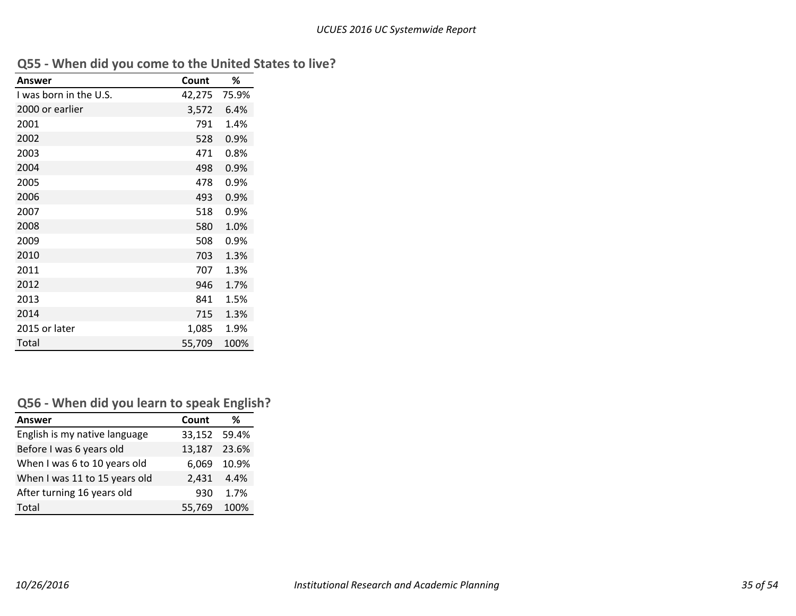|  |  |  | Q55 - When did you come to the United States to live? |  |  |
|--|--|--|-------------------------------------------------------|--|--|
|--|--|--|-------------------------------------------------------|--|--|

| Answer                 | Count  | %     |
|------------------------|--------|-------|
| I was born in the U.S. | 42,275 | 75.9% |
| 2000 or earlier        | 3,572  | 6.4%  |
| 2001                   | 791    | 1.4%  |
| 2002                   | 528    | 0.9%  |
| 2003                   | 471    | 0.8%  |
| 2004                   | 498    | 0.9%  |
| 2005                   | 478    | 0.9%  |
| 2006                   | 493    | 0.9%  |
| 2007                   | 518    | 0.9%  |
| 2008                   | 580    | 1.0%  |
| 2009                   | 508    | 0.9%  |
| 2010                   | 703    | 1.3%  |
| 2011                   | 707    | 1.3%  |
| 2012                   | 946    | 1.7%  |
| 2013                   | 841    | 1.5%  |
| 2014                   | 715    | 1.3%  |
| 2015 or later          | 1,085  | 1.9%  |
| Total                  | 55,709 | 100%  |

# **Q56 ‐ When did you learn to speak English?**

| <b>Answer</b>                 | Count        | ℅           |
|-------------------------------|--------------|-------------|
| English is my native language | 33,152 59.4% |             |
| Before I was 6 years old      | 13,187 23.6% |             |
| When I was 6 to 10 years old  |              | 6,069 10.9% |
| When I was 11 to 15 years old | 2.431        | 4.4%        |
| After turning 16 years old    | 930          | 1.7%        |
| Total                         | 55,769       | 100%        |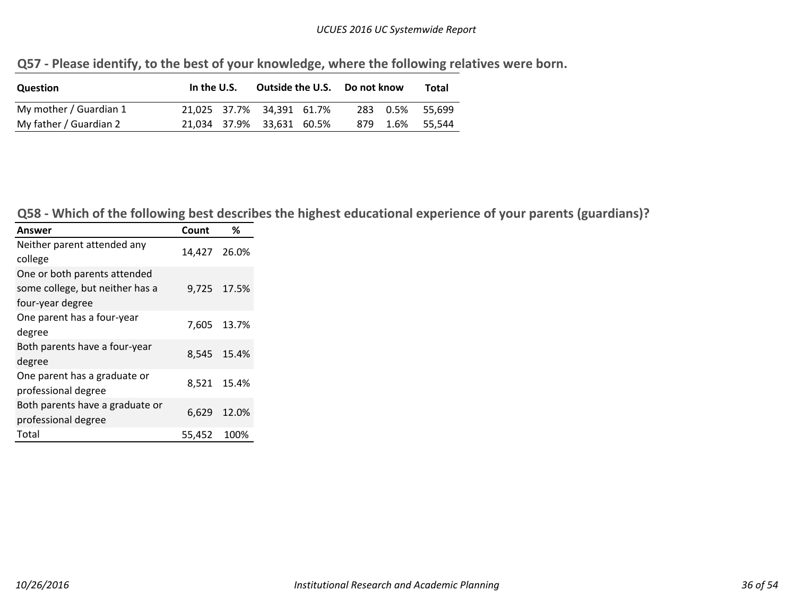#### *UCUES 2016 UC Systemwide Report*

| Question               | In the U.S. | Outside the U.S. Do not know |  | Total           |
|------------------------|-------------|------------------------------|--|-----------------|
| My mother / Guardian 1 |             | 21.025 37.7% 34.391 61.7%    |  | 283 0.5% 55.699 |
| My father / Guardian 2 |             | 21,034 37.9% 33,631 60.5%    |  | 879 1.6% 55.544 |

**Q57 ‐ Please identify, to the best of your knowledge, where the following relatives were born.**

Q58 - Which of the following best describes the highest educational experience of your parents (guardians)?

| Answer                                                                              | Count        | %           |
|-------------------------------------------------------------------------------------|--------------|-------------|
| Neither parent attended any<br>college                                              | 14,427 26.0% |             |
| One or both parents attended<br>some college, but neither has a<br>four-year degree |              | 9,725 17.5% |
| One parent has a four-year<br>degree                                                |              | 7,605 13.7% |
| Both parents have a four-year<br>degree                                             |              | 8,545 15.4% |
| One parent has a graduate or<br>professional degree                                 |              | 8,521 15.4% |
| Both parents have a graduate or<br>professional degree                              | 6,629        | 12.0%       |
| Total                                                                               | 55,452       | 100%        |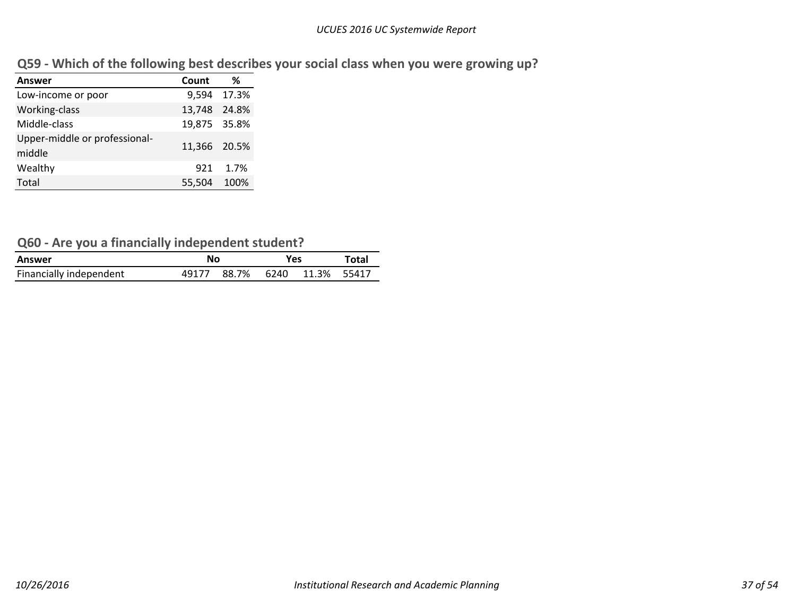|  |  | Q59 - Which of the following best describes your social class when you were growing up? |  |
|--|--|-----------------------------------------------------------------------------------------|--|
|  |  |                                                                                         |  |

| Answer                                  | Count        | %           |
|-----------------------------------------|--------------|-------------|
| Low-income or poor                      |              | 9,594 17.3% |
| Working-class                           | 13,748 24.8% |             |
| Middle-class                            | 19,875 35.8% |             |
| Upper-middle or professional-<br>middle | 11,366 20.5% |             |
| Wealthy                                 | 921          | 1.7%        |
| Total                                   | 55,504       | 100%        |

# **Q60 ‐ Are you <sup>a</sup> financially independent student?**

| Answer                  | No    |                        | Yes | Total |
|-------------------------|-------|------------------------|-----|-------|
| Financially independent | 49177 | 88.7% 6240 11.3% 55417 |     |       |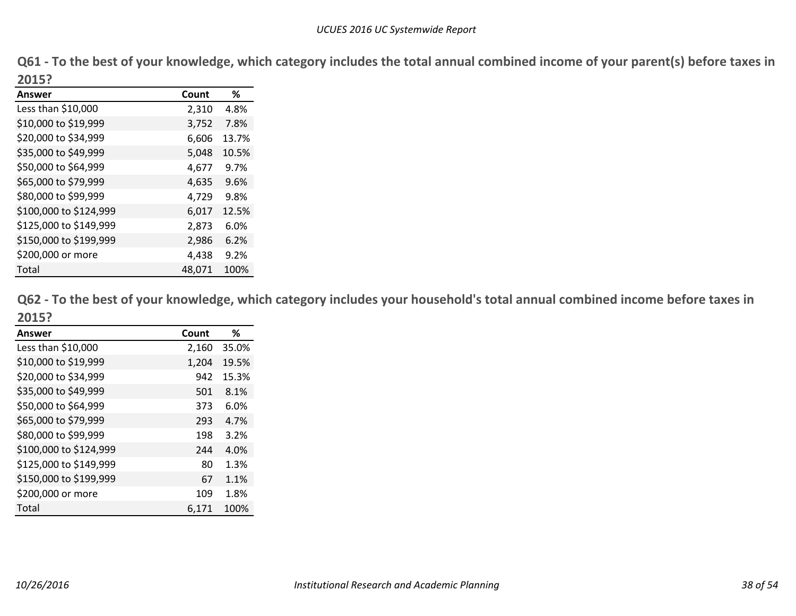Q61 - To the best of your knowledge, which category includes the total annual combined income of your parent(s) before taxes in **2015?**

| ZUIJ:                  |        |       |
|------------------------|--------|-------|
| Answer                 | Count  | ℅     |
| Less than \$10,000     | 2,310  | 4.8%  |
| \$10,000 to \$19,999   | 3,752  | 7.8%  |
| \$20,000 to \$34,999   | 6,606  | 13.7% |
| \$35,000 to \$49,999   | 5,048  | 10.5% |
| \$50,000 to \$64,999   | 4,677  | 9.7%  |
| \$65,000 to \$79,999   | 4,635  | 9.6%  |
| \$80,000 to \$99,999   | 4,729  | 9.8%  |
| \$100,000 to \$124,999 | 6,017  | 12.5% |
| \$125,000 to \$149,999 | 2,873  | 6.0%  |
| \$150,000 to \$199,999 | 2,986  | 6.2%  |
| \$200,000 or more      | 4,438  | 9.2%  |
| Total                  | 48,071 | 100%  |

Q62 - To the best of your knowledge, which category includes your household's total annual combined income before taxes in **2015?**

| <b>Answer</b>          | Count | ℅     |
|------------------------|-------|-------|
| Less than \$10,000     | 2,160 | 35.0% |
| \$10,000 to \$19,999   | 1,204 | 19.5% |
| \$20,000 to \$34,999   | 942   | 15.3% |
| \$35,000 to \$49,999   | 501   | 8.1%  |
| \$50,000 to \$64,999   | 373   | 6.0%  |
| \$65,000 to \$79,999   | 293   | 4.7%  |
| \$80,000 to \$99,999   | 198   | 3.2%  |
| \$100,000 to \$124,999 | 244   | 4.0%  |
| \$125,000 to \$149,999 | 80    | 1.3%  |
| \$150,000 to \$199,999 | 67    | 1.1%  |
| \$200,000 or more      | 109   | 1.8%  |
| Total                  | 6.171 | 100%  |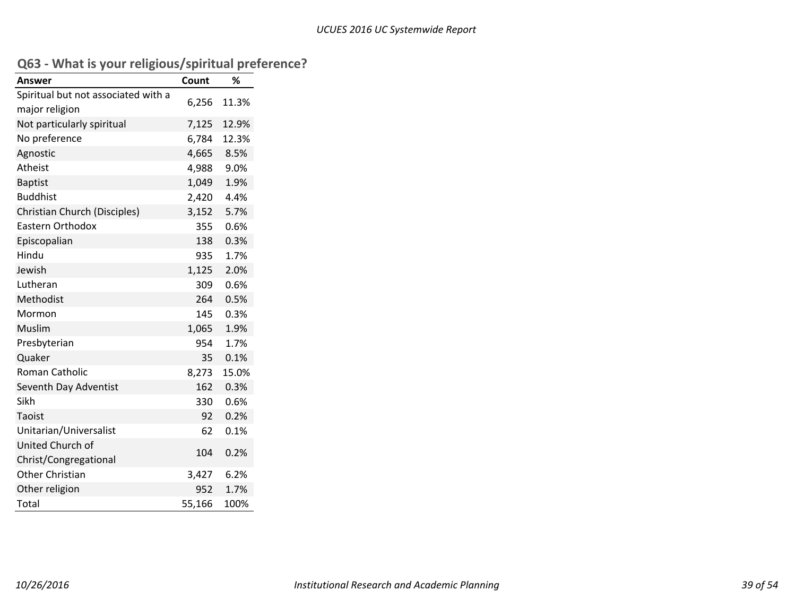# **Q63 ‐ What is your religious/spiritual preference?**

| <b>Answer</b>                       | Count  | %     |
|-------------------------------------|--------|-------|
| Spiritual but not associated with a |        |       |
| major religion                      | 6,256  | 11.3% |
| Not particularly spiritual          | 7,125  | 12.9% |
| No preference                       | 6,784  | 12.3% |
| Agnostic                            | 4,665  | 8.5%  |
| Atheist                             | 4,988  | 9.0%  |
| <b>Baptist</b>                      | 1,049  | 1.9%  |
| <b>Buddhist</b>                     | 2,420  | 4.4%  |
| Christian Church (Disciples)        | 3,152  | 5.7%  |
| <b>Eastern Orthodox</b>             | 355    | 0.6%  |
| Episcopalian                        | 138    | 0.3%  |
| Hindu                               | 935    | 1.7%  |
| Jewish                              | 1,125  | 2.0%  |
| Lutheran                            | 309    | 0.6%  |
| Methodist                           | 264    | 0.5%  |
| Mormon                              | 145    | 0.3%  |
| Muslim                              | 1,065  | 1.9%  |
| Presbyterian                        | 954    | 1.7%  |
| Quaker                              | 35     | 0.1%  |
| <b>Roman Catholic</b>               | 8,273  | 15.0% |
| Seventh Day Adventist               | 162    | 0.3%  |
| Sikh                                | 330    | 0.6%  |
| Taoist                              | 92     | 0.2%  |
| Unitarian/Universalist              | 62     | 0.1%  |
| United Church of                    |        |       |
| Christ/Congregational               | 104    | 0.2%  |
| <b>Other Christian</b>              | 3,427  | 6.2%  |
| Other religion                      | 952    | 1.7%  |
| Total                               | 55,166 | 100%  |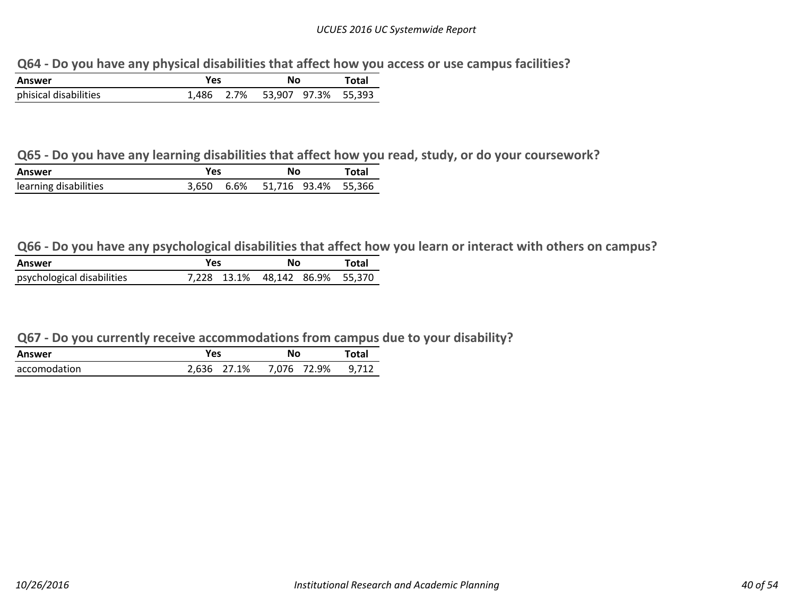**Q64 ‐ Do you have any physical disabilities that affect how you access or use campus facilities?**

| Answer                | Yes   | No                       | Total |
|-----------------------|-------|--------------------------|-------|
| phisical disabilities | 1.486 | 2.7% 53.907 97.3% 55.393 |       |

#### Q65 - Do you have any learning disabilities that affect how you read, study, or do your coursework?

| Answer                | Yes | No                             | Total |
|-----------------------|-----|--------------------------------|-------|
| learning disabilities |     | 3.650 6.6% 51.716 93.4% 55.366 |       |

Q66 - Do you have any psychological disabilities that affect how you learn or interact with others on campus?

| Answer                     | Yes | No                              | Total |
|----------------------------|-----|---------------------------------|-------|
| psychological disabilities |     | 7,228 13.1% 48,142 86.9% 55,370 |       |

#### **Q67 ‐ Do you currently receive accommodations from campus due to your disability?**

| Answer       | Yes         | No          | Total |
|--------------|-------------|-------------|-------|
| accomodation | 2.636 27.1% | 7.076 72.9% | 9.712 |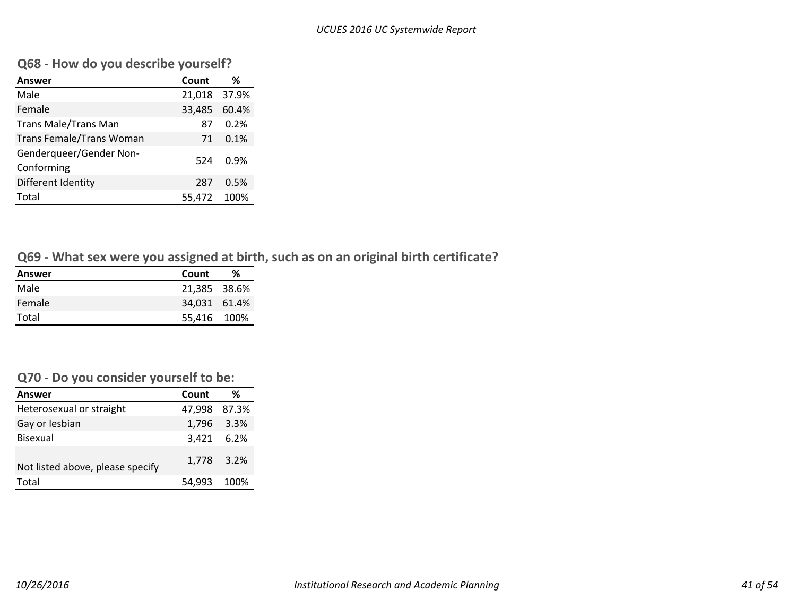#### **Q68 ‐ How do you describe yourself?**

| <b>Answer</b>                         | Count        | ℅     |
|---------------------------------------|--------------|-------|
| Male                                  | 21,018 37.9% |       |
| Female                                | 33,485       | 60.4% |
| <b>Trans Male/Trans Man</b>           | 87           | 0.2%  |
| <b>Trans Female/Trans Woman</b>       | 71           | 0.1%  |
| Genderqueer/Gender Non-<br>Conforming | 524          | 0.9%  |
| Different Identity                    | 287          | 0.5%  |
| Total                                 | 55.472       | 100%  |

# **Q69 ‐ What sex were you assigned at birth, such as on an original birth certificate?**

| Answer | Count        | ℅ |
|--------|--------------|---|
| Male   | 21.385 38.6% |   |
| Female | 34.031 61.4% |   |
| Total  | 55.416 100%  |   |

#### **Q70 ‐ Do you consider yourself to be:**

| <b>Answer</b>                    | Count        | ℅          |
|----------------------------------|--------------|------------|
| Heterosexual or straight         | 47.998 87.3% |            |
| Gay or lesbian                   |              | 1,796 3.3% |
| <b>Bisexual</b>                  | 3,421 6.2%   |            |
| Not listed above, please specify |              | 1,778 3.2% |
| Total                            | 54,993 100%  |            |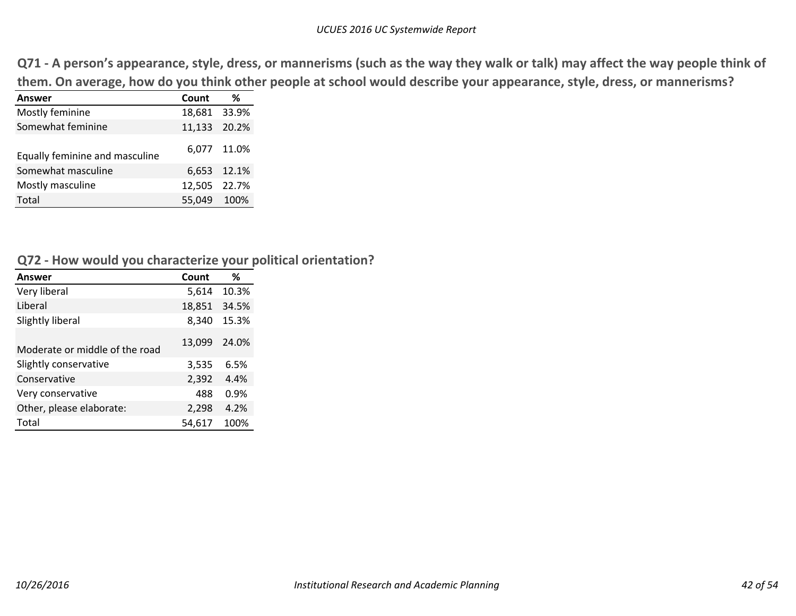Q71 - A person's appearance, style, dress, or mannerisms (such as the way they walk or talk) may affect the way people think of them. On average, how do you think other people at school would describe your appearance, style, dress, or mannerisms?

| Answer                         | Count        | %           |
|--------------------------------|--------------|-------------|
| Mostly feminine                | 18,681 33.9% |             |
| Somewhat feminine              | 11,133 20.2% |             |
| Equally feminine and masculine |              | 6,077 11.0% |
| Somewhat masculine             |              | 6,653 12.1% |
| Mostly masculine               | 12,505 22.7% |             |
| Total                          | 55,049 100%  |             |

#### **Q72 ‐ How would you characterize your political orientation?**

| Answer                         | Count          | %     |  |  |  |  |
|--------------------------------|----------------|-------|--|--|--|--|
| Very liberal                   | 5,614          | 10.3% |  |  |  |  |
| Liberal                        | 18,851         | 34.5% |  |  |  |  |
| Slightly liberal               | 8,340<br>15.3% |       |  |  |  |  |
| Moderate or middle of the road | 13,099         | 24.0% |  |  |  |  |
| Slightly conservative          | 3,535          | 6.5%  |  |  |  |  |
| Conservative                   | 2,392          | 4.4%  |  |  |  |  |
| Very conservative              | 488            | 0.9%  |  |  |  |  |
| Other, please elaborate:       | 2,298          | 4.2%  |  |  |  |  |
| Total                          | 54,617         | 100%  |  |  |  |  |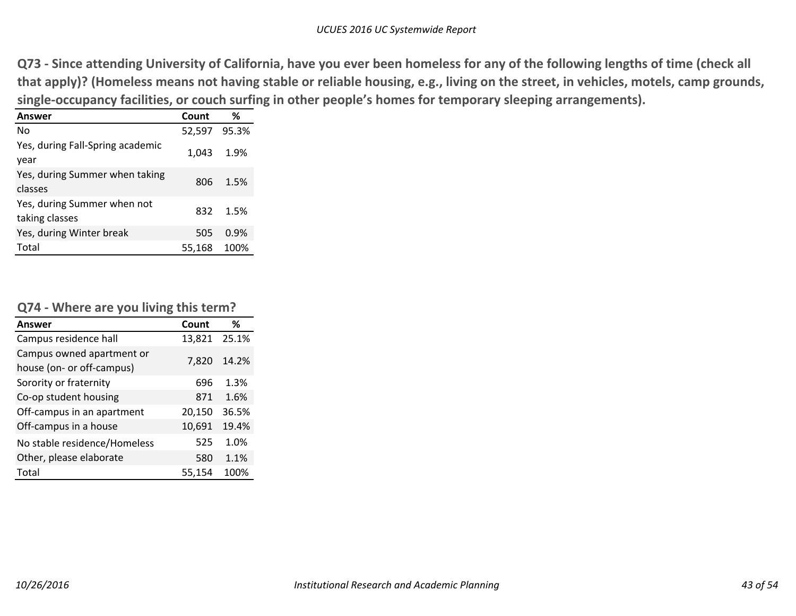Q73 - Since attending University of California, have you ever been homeless for any of the following lengths of time (check all that apply)? (Homeless means not having stable or reliable housing, e.g., living on the street, in vehicles, motels, camp grounds, **single‐occupancy facilities, or couch surfing in other people's homes for temporary sleeping arrangements).**

| <b>Answer</b>                                 | Count        | %    |
|-----------------------------------------------|--------------|------|
| No                                            | 52,597 95.3% |      |
| Yes, during Fall-Spring academic<br>year      | 1,043        | 1.9% |
| Yes, during Summer when taking<br>classes     | 806          | 1.5% |
| Yes, during Summer when not<br>taking classes | 832          | 1.5% |
| Yes, during Winter break                      | 505          | 0.9% |
| Total                                         | 55,168       | 100% |

### **Q74 ‐ Where are you living this term?**

| <b>Answer</b>                                          | Count  | %     |
|--------------------------------------------------------|--------|-------|
| Campus residence hall                                  | 13,821 | 25.1% |
| Campus owned apartment or<br>house (on- or off-campus) | 7.820  | 14.2% |
| Sorority or fraternity                                 | 696    | 1.3%  |
| Co-op student housing                                  | 871    | 1.6%  |
| Off-campus in an apartment                             | 20,150 | 36.5% |
| Off-campus in a house                                  | 10,691 | 19.4% |
| No stable residence/Homeless                           | 525    | 1.0%  |
| Other, please elaborate                                | 580    | 1.1%  |
| Total                                                  | 55,154 | 100%  |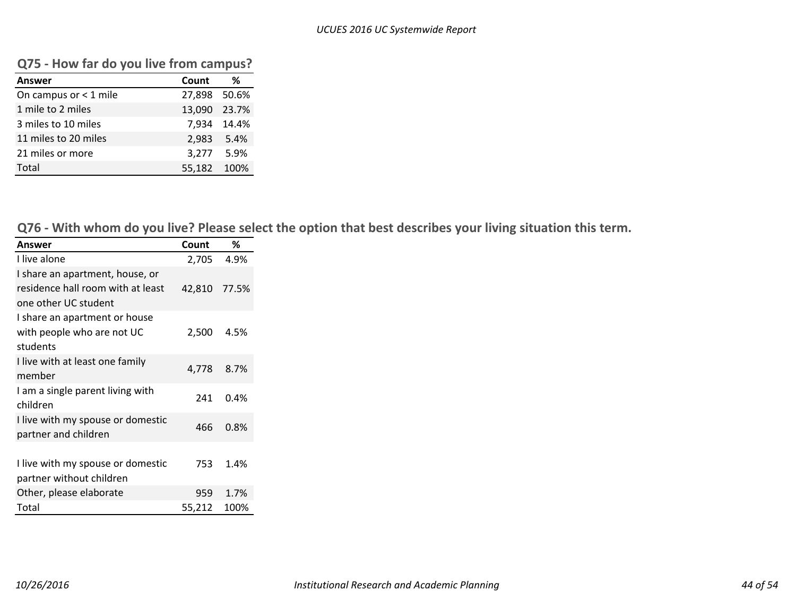| $\cdots$                |              |             |
|-------------------------|--------------|-------------|
| <b>Answer</b>           | Count        | ℅           |
| On campus or $<$ 1 mile | 27,898 50.6% |             |
| 1 mile to 2 miles       | 13,090 23.7% |             |
| 3 miles to 10 miles     |              | 7.934 14.4% |
| 11 miles to 20 miles    |              | 2,983 5.4%  |
| 21 miles or more        |              | 3,277 5.9%  |
| Total                   | 55,182 100%  |             |

### **Q75 ‐ How far do you live from campus?**

Q76 - With whom do you live? Please select the option that best describes your living situation this term.

| Answer                            | Count        | %    |
|-----------------------------------|--------------|------|
| I live alone                      | 2,705        | 4.9% |
| I share an apartment, house, or   |              |      |
| residence hall room with at least | 42,810 77.5% |      |
| one other UC student              |              |      |
| I share an apartment or house     |              |      |
| with people who are not UC        | 2,500        | 4.5% |
| students                          |              |      |
| I live with at least one family   | 4,778        | 8.7% |
| member                            |              |      |
| I am a single parent living with  | 241          | 0.4% |
| children                          |              |      |
| I live with my spouse or domestic | 466          | 0.8% |
| partner and children              |              |      |
|                                   |              |      |
| I live with my spouse or domestic | 753          | 1.4% |
| partner without children          |              |      |
| Other, please elaborate           | 959          | 1.7% |
| Total                             | 55,212       | 100% |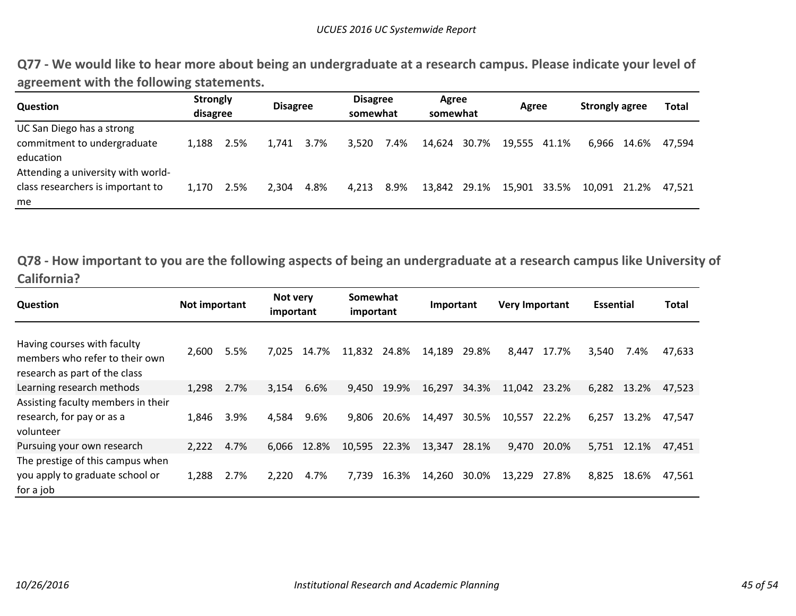Q77 - We would like to hear more about being an undergraduate at a research campus. Please indicate your level of **agreement with the following statements.**

| <b>Question</b>                                                                | <b>Strongly</b><br>disagree |      | <b>Disagree</b> |      |       | <b>Disagree</b><br>somewhat |              | Agree<br>somewhat |              | Agree |              | <b>Strongly agree</b> |        |
|--------------------------------------------------------------------------------|-----------------------------|------|-----------------|------|-------|-----------------------------|--------------|-------------------|--------------|-------|--------------|-----------------------|--------|
| UC San Diego has a strong<br>commitment to undergraduate<br>education          | 1.188                       | 2.5% | 1.741           | 3.7% | 3,520 | 7.4%                        | 14.624       | 30.7%             | 19,555 41.1% |       |              | 6.966 14.6%           | 47.594 |
| Attending a university with world-<br>class researchers is important to<br>me. | 1.170                       | 2.5% | 2.304           | 4.8% | 4.213 | 8.9%                        | 13,842 29.1% |                   | 15,901       | 33.5% | 10,091 21.2% |                       | 47.521 |

Q78 - How important to you are the following aspects of being an undergraduate at a research campus like University of **California?**

| Question                                                                                       |       | Not important |       | Not very<br>important |        | Somewhat<br>important |        | Important |        | <b>Very Important</b> |       | <b>Essential</b> |        |
|------------------------------------------------------------------------------------------------|-------|---------------|-------|-----------------------|--------|-----------------------|--------|-----------|--------|-----------------------|-------|------------------|--------|
| Having courses with faculty<br>members who refer to their own<br>research as part of the class | 2,600 | 5.5%          | 7.025 | 14.7%                 | 11,832 | 24.8%                 | 14,189 | 29.8%     | 8,447  | 17.7%                 | 3,540 | 7.4%             | 47,633 |
| Learning research methods                                                                      | 1,298 | 2.7%          | 3,154 | 6.6%                  | 9.450  | 19.9%                 | 16,297 | 34.3%     | 11,042 | 23.2%                 | 6,282 | 13.2%            | 47.523 |
| Assisting faculty members in their<br>research, for pay or as a<br>volunteer                   | 1.846 | 3.9%          | 4.584 | 9.6%                  | 9.806  | 20.6%                 | 14.497 | 30.5%     | 10,557 | 22.2%                 | 6,257 | 13.2%            | 47.547 |
| Pursuing your own research                                                                     | 2,222 | 4.7%          | 6.066 | 12.8%                 | 10,595 | 22.3%                 | 13,347 | 28.1%     | 9,470  | 20.0%                 | 5,751 | 12.1%            | 47,451 |
| The prestige of this campus when<br>you apply to graduate school or<br>for a job               | 1,288 | 2.7%          | 2,220 | 4.7%                  | 7,739  | 16.3%                 | 14,260 | 30.0%     | 13,229 | 27.8%                 | 8,825 | 18.6%            | 47,561 |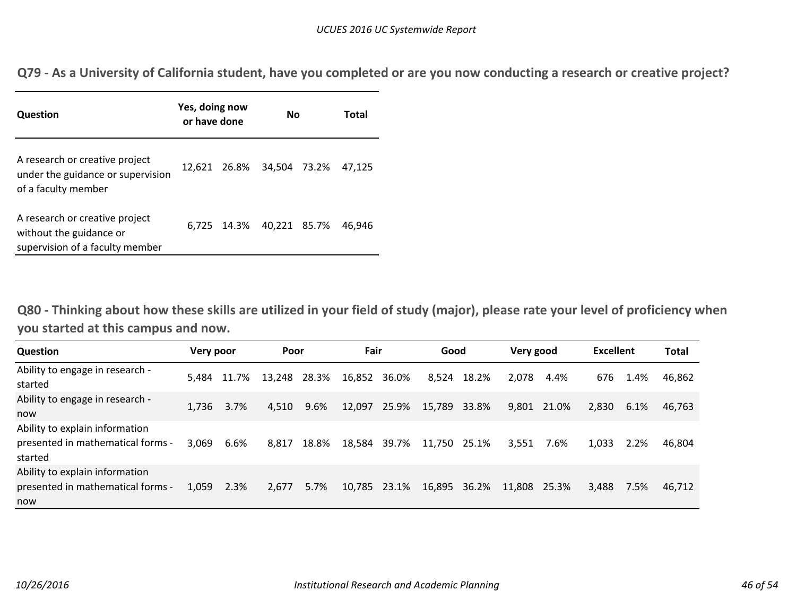Q79 - As a University of California student, have you completed or are you now conducting a research or creative project?

| Question                                                                                     | Yes, doing now<br>or have done | No                        | Total |        |
|----------------------------------------------------------------------------------------------|--------------------------------|---------------------------|-------|--------|
| A research or creative project<br>under the guidance or supervision<br>of a faculty member   |                                | 12,621 26.8% 34,504 73.2% |       | 47.125 |
| A research or creative project<br>without the guidance or<br>supervision of a faculty member |                                | 6,725 14.3% 40,221 85.7%  |       | 46.946 |

Q80 - Thinking about how these skills are utilized in your field of study (major), please rate your level of proficiency when **you started at this campus and now.**

| Question                                                                       | Very poor |       | Poor         |       | Fair   |       | Good         |       | Very good |       | <b>Excellent</b> |      | Total  |
|--------------------------------------------------------------------------------|-----------|-------|--------------|-------|--------|-------|--------------|-------|-----------|-------|------------------|------|--------|
| Ability to engage in research -<br>started                                     | 5.484     | 11.7% | 13,248 28.3% |       | 16,852 | 36.0% | 8,524        | 18.2% | 2.078     | 4.4%  | 676              | 1.4% | 46,862 |
| Ability to engage in research -<br>now                                         | 1.736     | 3.7%  | 4.510        | 9.6%  | 12.097 | 25.9% | 15,789       | 33.8% | 9,801     | 21.0% | 2,830            | 6.1% | 46.763 |
| Ability to explain information<br>presented in mathematical forms -<br>started | 3.069     | 6.6%  | 8,817        | 18.8% | 18,584 | 39.7% | 11,750 25.1% |       | 3,551     | 7.6%  | 1,033            | 2.2% | 46.804 |
| Ability to explain information<br>presented in mathematical forms -<br>now     | 1.059     | 2.3%  | 2,677        | 5.7%  | 10,785 | 23.1% | 16,895       | 36.2% | 11,808    | 25.3% | 3,488            | 7.5% | 46,712 |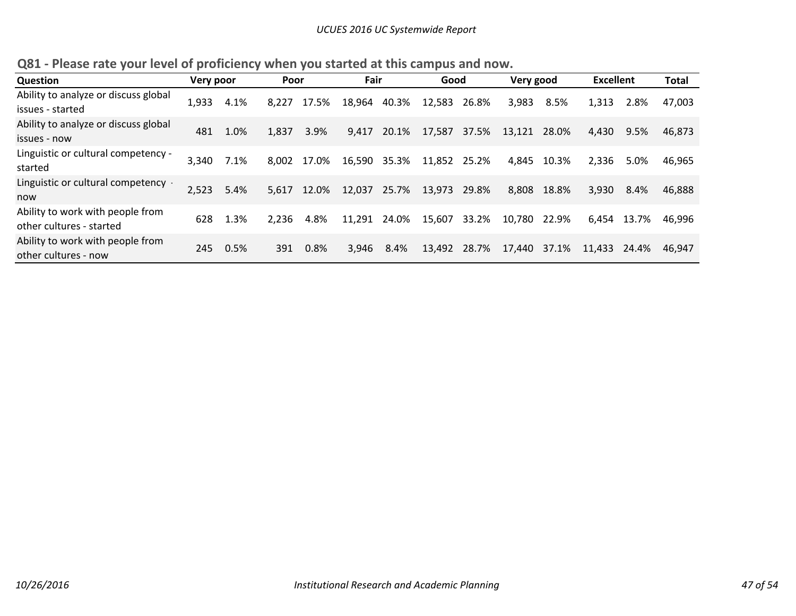|  | Q81 - Please rate your level of proficiency when you started at this campus and now. |  |  |  |  |  |  |
|--|--------------------------------------------------------------------------------------|--|--|--|--|--|--|
|--|--------------------------------------------------------------------------------------|--|--|--|--|--|--|

| <b>Question</b><br>Very poor                                 |       |      | Poor  |             |        | Fair  |        | Good  |        | Very good |        | <b>Excellent</b> |        |
|--------------------------------------------------------------|-------|------|-------|-------------|--------|-------|--------|-------|--------|-----------|--------|------------------|--------|
| Ability to analyze or discuss global<br>issues - started     | 1,933 | 4.1% | 8,227 | 17.5%       | 18,964 | 40.3% | 12,583 | 26.8% | 3,983  | 8.5%      | 1,313  | 2.8%             | 47,003 |
| Ability to analyze or discuss global<br>issues - now         | 481   | 1.0% | 1,837 | 3.9%        | 9,417  | 20.1% | 17,587 | 37.5% | 13,121 | 28.0%     | 4,430  | 9.5%             | 46.873 |
| Linguistic or cultural competency -<br>started               | 3,340 | 7.1% |       | 8,002 17.0% | 16,590 | 35.3% | 11,852 | 25.2% | 4,845  | 10.3%     | 2,336  | 5.0%             | 46.965 |
| Linguistic or cultural competency -<br>now                   | 2,523 | 5.4% | 5,617 | 12.0%       | 12,037 | 25.7% | 13,973 | 29.8% | 8,808  | 18.8%     | 3,930  | 8.4%             | 46.888 |
| Ability to work with people from<br>other cultures - started | 628   | 1.3% | 2,236 | 4.8%        | 11,291 | 24.0% | 15,607 | 33.2% | 10,780 | 22.9%     | 6.454  | 13.7%            | 46.996 |
| Ability to work with people from<br>other cultures - now     | 245   | 0.5% | 391   | 0.8%        | 3.946  | 8.4%  | 13,492 | 28.7% | 17,440 | 37.1%     | 11,433 | 24.4%            | 46.947 |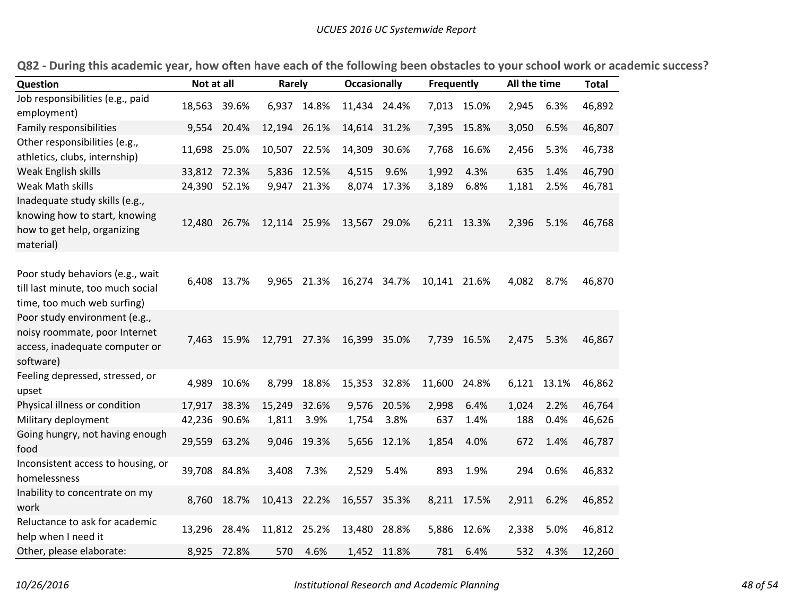| Question                                                                                                      | Not at all   |             | Rarely       |             | <b>Occasionally</b> |       | <b>Frequently</b> |             | All the time |       | <b>Total</b> |
|---------------------------------------------------------------------------------------------------------------|--------------|-------------|--------------|-------------|---------------------|-------|-------------------|-------------|--------------|-------|--------------|
| Job responsibilities (e.g., paid                                                                              |              |             |              |             |                     |       |                   |             |              |       |              |
| employment)                                                                                                   | 18,563       | 39.6%       |              | 6,937 14.8% | 11,434 24.4%        |       |                   | 7,013 15.0% | 2,945        | 6.3%  | 46,892       |
| Family responsibilities                                                                                       | 9,554        | 20.4%       | 12,194       | 26.1%       | 14,614              | 31.2% | 7,395             | 15.8%       | 3,050        | 6.5%  | 46,807       |
| Other responsibilities (e.g.,<br>athletics, clubs, internship)                                                | 11,698       | 25.0%       | 10,507 22.5% |             | 14,309              | 30.6% | 7,768             | 16.6%       | 2,456        | 5.3%  | 46,738       |
| Weak English skills                                                                                           | 33,812       | 72.3%       | 5,836        | 12.5%       | 4,515               | 9.6%  | 1,992             | 4.3%        | 635          | 1.4%  | 46,790       |
| Weak Math skills                                                                                              | 24,390       | 52.1%       | 9,947        | 21.3%       | 8,074               | 17.3% | 3,189             | 6.8%        | 1,181        | 2.5%  | 46,781       |
| Inadequate study skills (e.g.,<br>knowing how to start, knowing<br>how to get help, organizing<br>material)   | 12,480       | 26.7%       | 12,114 25.9% |             | 13,567 29.0%        |       |                   | 6,211 13.3% | 2,396        | 5.1%  | 46,768       |
| Poor study behaviors (e.g., wait<br>till last minute, too much social<br>time, too much web surfing)          |              | 6,408 13.7% | 9,965        | 21.3%       | 16,274              | 34.7% | 10,141 21.6%      |             | 4,082        | 8.7%  | 46,870       |
| Poor study environment (e.g.,<br>noisy roommate, poor Internet<br>access, inadequate computer or<br>software) |              | 7,463 15.9% | 12,791 27.3% |             | 16,399              | 35.0% |                   | 7,739 16.5% | 2,475        | 5.3%  | 46,867       |
| Feeling depressed, stressed, or<br>upset                                                                      | 4,989        | 10.6%       | 8,799        | 18.8%       | 15,353              | 32.8% | 11,600            | 24.8%       | 6,121        | 13.1% | 46,862       |
| Physical illness or condition                                                                                 | 17,917       | 38.3%       | 15,249       | 32.6%       | 9,576               | 20.5% | 2,998             | 6.4%        | 1,024        | 2.2%  | 46,764       |
| Military deployment                                                                                           | 42,236       | 90.6%       | 1,811        | 3.9%        | 1,754               | 3.8%  | 637               | 1.4%        | 188          | 0.4%  | 46,626       |
| Going hungry, not having enough<br>food                                                                       | 29,559       | 63.2%       | 9,046        | 19.3%       | 5,656               | 12.1% | 1,854             | 4.0%        | 672          | 1.4%  | 46,787       |
| Inconsistent access to housing, or<br>homelessness                                                            | 39,708 84.8% |             | 3,408        | 7.3%        | 2,529               | 5.4%  | 893               | 1.9%        | 294          | 0.6%  | 46,832       |
| Inability to concentrate on my<br>work                                                                        | 8,760        | 18.7%       | 10,413 22.2% |             | 16,557 35.3%        |       |                   | 8,211 17.5% | 2,911        | 6.2%  | 46,852       |
| Reluctance to ask for academic<br>help when I need it                                                         | 13,296       | 28.4%       | 11,812 25.2% |             | 13,480              | 28.8% | 5,886             | 12.6%       | 2,338        | 5.0%  | 46,812       |
| Other, please elaborate:                                                                                      | 8,925        | 72.8%       | 570          | 4.6%        | 1,452               | 11.8% | 781               | 6.4%        | 532          | 4.3%  | 12,260       |

Q82 - During this academic year, how often have each of the following been obstacles to your school work or academic success?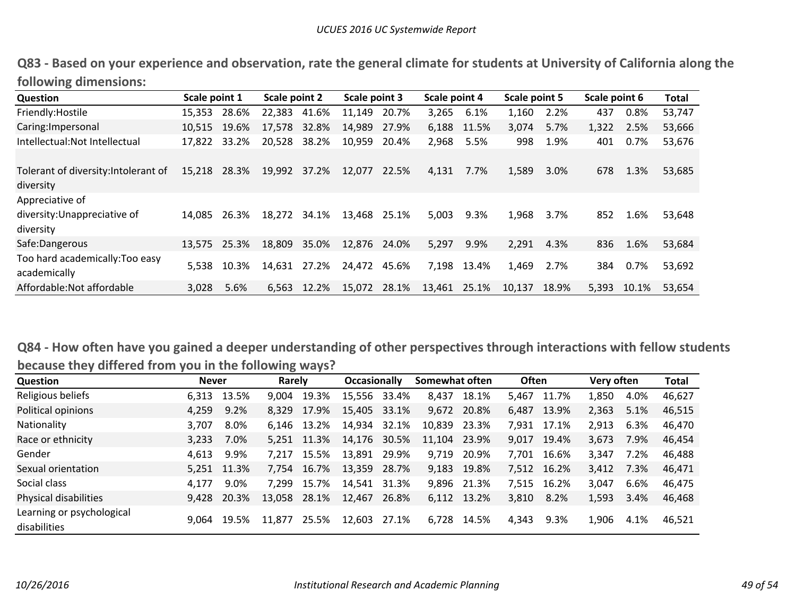Q83 - Based on your experience and observation, rate the general climate for students at University of California along the **following dimensions:**

| Question                                          | Scale point 1 |             | Scale point 2 |       | Scale point 3 |       | Scale point 4 |       | Scale point 5 |       | Scale point 6 |         | Total  |
|---------------------------------------------------|---------------|-------------|---------------|-------|---------------|-------|---------------|-------|---------------|-------|---------------|---------|--------|
| Friendly: Hostile                                 | 15,353        | 28.6%       | 22,383        | 41.6% | 11,149        | 20.7% | 3,265         | 6.1%  | 1,160         | 2.2%  | 437           | 0.8%    | 53,747 |
| Caring: Impersonal                                | 10.515        | 19.6%       | 17,578 32.8%  |       | 14,989        | 27.9% | 6,188 11.5%   |       | 3,074         | 5.7%  | 1,322         | 2.5%    | 53,666 |
| Intellectual: Not Intellectual                    | 17,822        | 33.2%       | 20,528        | 38.2% | 10,959        | 20.4% | 2,968         | 5.5%  | 998           | 1.9%  | 401           | 0.7%    | 53,676 |
| Tolerant of diversity: Intolerant of<br>diversity | 15,218        | 28.3%       | 19,992 37.2%  |       | 12,077        | 22.5% | 4,131         | 7.7%  | 1,589         | 3.0%  | 678           | 1.3%    | 53,685 |
| Appreciative of                                   |               |             |               |       |               |       |               |       |               |       |               |         |        |
| diversity: Unappreciative of<br>diversity         | 14.085        | 26.3%       | 18.272        | 34.1% | 13,468        | 25.1% | 5.003         | 9.3%  | 1,968         | 3.7%  | 852           | 1.6%    | 53,648 |
| Safe:Dangerous                                    | 13,575 25.3%  |             | 18,809        | 35.0% | 12,876 24.0%  |       | 5,297         | 9.9%  | 2,291         | 4.3%  | 836           | 1.6%    | 53,684 |
| Too hard academically: Too easy<br>academically   |               | 5,538 10.3% | 14,631 27.2%  |       | 24,472        | 45.6% | 7,198         | 13.4% | 1,469         | 2.7%  | 384           | $0.7\%$ | 53,692 |
| Affordable: Not affordable                        | 3,028         | 5.6%        | 6,563         | 12.2% | 15,072        | 28.1% | 13,461        | 25.1% | 10,137        | 18.9% | 5,393         | 10.1%   | 53,654 |

Q84 - How often have you gained a deeper understanding of other perspectives through interactions with fellow students **because they differed from you in the following ways?**

| <b>Question</b>                           | <b>Never</b> |       | Rarely |             | <b>Occasionally</b> |       | Somewhat often |             | <b>Often</b> |             | Very often |      | <b>Total</b> |
|-------------------------------------------|--------------|-------|--------|-------------|---------------------|-------|----------------|-------------|--------------|-------------|------------|------|--------------|
| Religious beliefs                         | 6.313        | 13.5% | 9.004  | 19.3%       | 15,556              | 33.4% | 8.437          | 18.1%       | 5.467        | 11.7%       | 1.850      | 4.0% | 46,627       |
| Political opinions                        | 4,259        | 9.2%  | 8.329  | 17.9%       | 15,405              | 33.1% | 9,672          | 20.8%       | 6.487        | 13.9%       | 2,363      | 5.1% | 46,515       |
| <b>Nationality</b>                        | 3,707        | 8.0%  | 6.146  | 13.2%       | 14,934              | 32.1% | 10,839         | 23.3%       | 7,931        | 17.1%       | 2.913      | 6.3% | 46.470       |
| Race or ethnicity                         | 3,233        | 7.0%  |        | 5,251 11.3% | 14,176              | 30.5% | 11.104         | 23.9%       | 9.017        | 19.4%       | 3,673      | 7.9% | 46,454       |
| Gender                                    | 4,613        | 9.9%  | 7.217  | 15.5%       | 13,891              | 29.9% | 9,719          | 20.9%       | 7,701        | 16.6%       | 3,347      | 7.2% | 46,488       |
| Sexual orientation                        | 5.251        | 11.3% |        | 7,754 16.7% | 13,359              | 28.7% | 9,183          | 19.8%       |              | 7,512 16.2% | 3,412      | 7.3% | 46,471       |
| Social class                              | 4.177        | 9.0%  | 7.299  | 15.7%       | 14,541              | 31.3% | 9,896          | 21.3%       |              | 7,515 16.2% | 3.047      | 6.6% | 46,475       |
| Physical disabilities                     | 9.428        | 20.3% | 13,058 | 28.1%       | 12,467              | 26.8% |                | 6,112 13.2% | 3.810        | 8.2%        | 1,593      | 3.4% | 46,468       |
| Learning or psychological<br>disabilities | 9.064        | 19.5% | 11.877 | 25.5%       | 12,603              | 27.1% | 6,728          | 14.5%       | 4,343        | 9.3%        | 1.906      | 4.1% | 46,521       |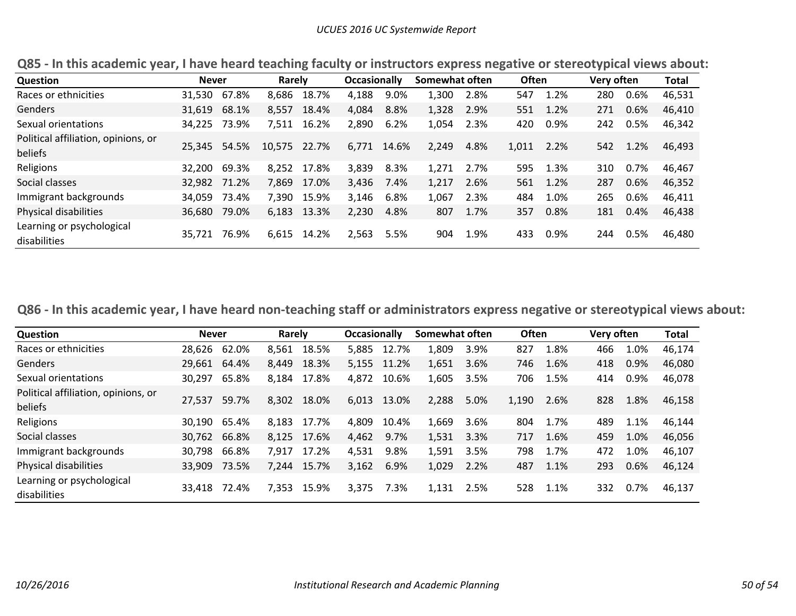| <b>Question</b>                                | <b>Never</b> |       | Rarely       |             | <b>Occasionally</b> |       | Somewhat often |      | <b>Often</b> |          | Very often |      | Total  |
|------------------------------------------------|--------------|-------|--------------|-------------|---------------------|-------|----------------|------|--------------|----------|------------|------|--------|
| Races or ethnicities                           | 31,530       | 67.8% | 8,686        | 18.7%       | 4,188               | 9.0%  | 1,300          | 2.8% | 547          | 1.2%     | 280        | 0.6% | 46,531 |
| Genders                                        | 31,619       | 68.1% | 8,557        | 18.4%       | 4,084               | 8.8%  | 1,328          | 2.9% | 551          | 1.2%     | 271        | 0.6% | 46,410 |
| Sexual orientations                            | 34,225       | 73.9% | 7,511        | 16.2%       | 2,890               | 6.2%  | 1,054          | 2.3% | 420          | 0.9%     | 242        | 0.5% | 46,342 |
| Political affiliation, opinions, or<br>beliefs | 25.345 54.5% |       | 10,575 22.7% |             | 6,771               | 14.6% | 2.249          | 4.8% | 1,011 2.2%   |          | 542        | 1.2% | 46,493 |
| Religions                                      | 32,200       | 69.3% |              | 8.252 17.8% | 3,839               | 8.3%  | 1.271          | 2.7% | 595          | 1.3%     | 310        | 0.7% | 46.467 |
| Social classes                                 | 32,982 71.2% |       | 7.869        | 17.0%       | 3,436               | 7.4%  | 1,217          | 2.6% |              | 561 1.2% | 287        | 0.6% | 46,352 |
| Immigrant backgrounds                          | 34,059       | 73.4% |              | 7,390 15.9% | 3,146               | 6.8%  | 1.067          | 2.3% | 484          | 1.0%     | 265        | 0.6% | 46.411 |
| Physical disabilities                          | 36,680       | 79.0% |              | 6,183 13.3% | 2,230               | 4.8%  | 807            | 1.7% | 357          | 0.8%     | 181        | 0.4% | 46,438 |
| Learning or psychological<br>disabilities      | 35.721       | 76.9% | 6,615        | 14.2%       | 2.563               | 5.5%  | 904            | 1.9% | 433          | 0.9%     | 244        | 0.5% | 46,480 |

Q85 - In this academic year, I have heard teaching faculty or instructors express negative or stereotypical views about:

Q86 - In this academic year, I have heard non-teaching staff or administrators express negative or stereotypical views about:

| Question                                       | <b>Never</b> |       | Rarely      |             | <b>Occasionally</b> |       | Somewhat often |      | <b>Often</b> |      | Very often |      | <b>Total</b> |
|------------------------------------------------|--------------|-------|-------------|-------------|---------------------|-------|----------------|------|--------------|------|------------|------|--------------|
| Races or ethnicities                           | 28,626       | 62.0% |             | 8,561 18.5% | 5,885               | 12.7% | 1,809          | 3.9% | 827          | 1.8% | 466        | 1.0% | 46,174       |
| Genders                                        | 29,661       | 64.4% | 8,449       | 18.3%       | 5,155               | 11.2% | 1,651          | 3.6% | 746          | 1.6% | 418        | 0.9% | 46,080       |
| Sexual orientations                            | 30,297       | 65.8% | 8,184       | 17.8%       | 4,872               | 10.6% | 1,605          | 3.5% | 706          | 1.5% | 414        | 0.9% | 46,078       |
| Political affiliation, opinions, or<br>beliefs | 27.537       | 59.7% | 8,302       | 18.0%       | 6,013               | 13.0% | 2.288          | 5.0% | 1,190        | 2.6% | 828        | 1.8% | 46,158       |
| Religions                                      | 30,190       | 65.4% | 8.183       | 17.7%       | 4.809               | 10.4% | 1,669          | 3.6% | 804          | 1.7% | 489        | 1.1% | 46,144       |
| Social classes                                 | 30,762       | 66.8% | 8,125 17.6% |             | 4,462               | 9.7%  | 1,531          | 3.3% | 717          | 1.6% | 459        | 1.0% | 46,056       |
| Immigrant backgrounds                          | 30,798       | 66.8% |             | 7,917 17.2% | 4,531               | 9.8%  | 1,591          | 3.5% | 798          | 1.7% | 472        | 1.0% | 46,107       |
| Physical disabilities                          | 33.909       | 73.5% |             | 7,244 15.7% | 3,162               | 6.9%  | 1,029          | 2.2% | 487          | 1.1% | 293        | 0.6% | 46,124       |
| Learning or psychological<br>disabilities      | 33.418       | 72.4% | 7,353       | 15.9%       | 3,375               | 7.3%  | 1,131          | 2.5% | 528          | 1.1% | 332        | 0.7% | 46,137       |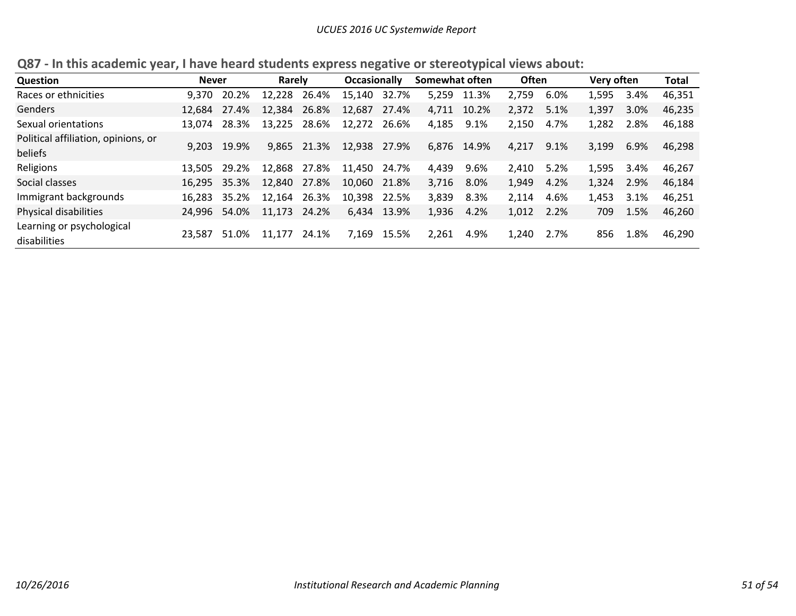| Question                                       | <b>Never</b> |              | Rarely       |             | <b>Occasionally</b> |       | Somewhat often |             | <b>Often</b> |      | Very often |      | Total  |
|------------------------------------------------|--------------|--------------|--------------|-------------|---------------------|-------|----------------|-------------|--------------|------|------------|------|--------|
| Races or ethnicities                           | 9.370        | 20.2%        | 12,228 26.4% |             | 15,140              | 32.7% | 5.259          | 11.3%       | 2,759        | 6.0% | 1,595      | 3.4% | 46,351 |
| Genders                                        | 12.684       | 27.4%        | 12,384       | 26.8%       | 12,687              | 27.4% | 4,711          | 10.2%       | 2,372        | 5.1% | 1,397      | 3.0% | 46,235 |
| Sexual orientations                            | 13.074       | 28.3%        | 13,225 28.6% |             | 12,272 26.6%        |       | 4,185          | 9.1%        | 2,150        | 4.7% | 1,282      | 2.8% | 46,188 |
| Political affiliation, opinions, or<br>beliefs | 9.203        | 19.9%        |              | 9,865 21.3% | 12,938              | 27.9% |                | 6,876 14.9% | 4.217        | 9.1% | 3,199      | 6.9% | 46,298 |
| Religions                                      | 13.505       | 29.2%        | 12,868 27.8% |             | 11,450 24.7%        |       | 4,439          | 9.6%        | 2,410        | 5.2% | 1,595      | 3.4% | 46,267 |
| Social classes                                 |              | 16.295 35.3% | 12,840 27.8% |             | 10,060 21.8%        |       | 3.716          | 8.0%        | 1,949        | 4.2% | 1,324      | 2.9% | 46,184 |
| Immigrant backgrounds                          | 16.283       | 35.2%        | 12,164 26.3% |             | 10,398 22.5%        |       | 3,839          | 8.3%        | 2,114        | 4.6% | 1,453      | 3.1% | 46,251 |
| Physical disabilities                          | 24,996       | 54.0%        | 11,173 24.2% |             | 6,434               | 13.9% | 1,936          | 4.2%        | 1,012        | 2.2% | 709        | 1.5% | 46,260 |
| Learning or psychological<br>disabilities      | 23.587       | 51.0%        | 11,177       | 24.1%       | 7,169               | 15.5% | 2,261          | 4.9%        | 1.240        | 2.7% | 856        | 1.8% | 46,290 |

**Q87 ‐ In this academic year, I have heard students express negative or stereotypical views about:**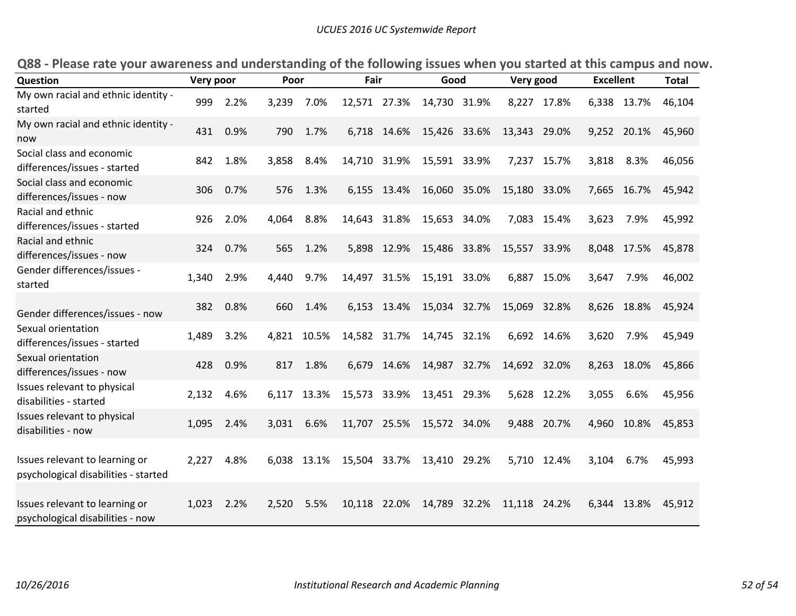| Question                                                               | Very poor |      | Poor  |             | Fair         |       | Good         |       | Very good    |             | <b>Excellent</b> |       | <b>Total</b> |
|------------------------------------------------------------------------|-----------|------|-------|-------------|--------------|-------|--------------|-------|--------------|-------------|------------------|-------|--------------|
| My own racial and ethnic identity -<br>started                         | 999       | 2.2% | 3,239 | 7.0%        | 12,571 27.3% |       | 14,730 31.9% |       | 8,227 17.8%  |             | 6,338 13.7%      |       | 46,104       |
| My own racial and ethnic identity -<br>now                             | 431       | 0.9% | 790   | 1.7%        | 6,718 14.6%  |       | 15,426 33.6% |       | 13,343 29.0% |             | 9,252 20.1%      |       | 45,960       |
| Social class and economic<br>differences/issues - started              | 842       | 1.8% | 3,858 | 8.4%        | 14,710 31.9% |       | 15,591       | 33.9% | 7,237 15.7%  |             | 3,818            | 8.3%  | 46,056       |
| Social class and economic<br>differences/issues - now                  | 306       | 0.7% | 576   | 1.3%        | 6,155 13.4%  |       | 16,060 35.0% |       | 15,180 33.0% |             | 7,665 16.7%      |       | 45,942       |
| Racial and ethnic<br>differences/issues - started                      | 926       | 2.0% | 4,064 | 8.8%        | 14,643       | 31.8% | 15,653       | 34.0% |              | 7,083 15.4% | 3,623            | 7.9%  | 45,992       |
| Racial and ethnic<br>differences/issues - now                          | 324       | 0.7% | 565   | 1.2%        | 5,898        | 12.9% | 15,486 33.8% |       | 15,557 33.9% |             | 8,048 17.5%      |       | 45,878       |
| Gender differences/issues -<br>started                                 | 1,340     | 2.9% | 4,440 | 9.7%        | 14,497 31.5% |       | 15,191 33.0% |       | 6,887 15.0%  |             | 3,647            | 7.9%  | 46,002       |
| Gender differences/issues - now                                        | 382       | 0.8% | 660   | 1.4%        | 6,153 13.4%  |       | 15,034 32.7% |       | 15,069 32.8% |             | 8,626 18.8%      |       | 45,924       |
| Sexual orientation<br>differences/issues - started                     | 1,489     | 3.2% |       | 4,821 10.5% | 14,582 31.7% |       | 14,745 32.1% |       |              | 6,692 14.6% | 3,620            | 7.9%  | 45,949       |
| Sexual orientation<br>differences/issues - now                         | 428       | 0.9% | 817   | 1.8%        | 6,679        | 14.6% | 14,987 32.7% |       | 14,692 32.0% |             | 8,263            | 18.0% | 45,866       |
| Issues relevant to physical<br>disabilities - started                  | 2,132     | 4.6% | 6,117 | 13.3%       | 15,573 33.9% |       | 13,451 29.3% |       | 5,628 12.2%  |             | 3,055            | 6.6%  | 45,956       |
| Issues relevant to physical<br>disabilities - now                      | 1,095     | 2.4% | 3,031 | 6.6%        | 11,707 25.5% |       | 15,572 34.0% |       | 9,488 20.7%  |             | 4,960 10.8%      |       | 45,853       |
| Issues relevant to learning or<br>psychological disabilities - started | 2,227     | 4.8% |       | 6,038 13.1% | 15,504 33.7% |       | 13,410       | 29.2% | 5,710        | 12.4%       | 3,104            | 6.7%  | 45,993       |
| Issues relevant to learning or<br>psychological disabilities - now     | 1,023     | 2.2% | 2,520 | 5.5%        | 10,118       | 22.0% | 14,789       | 32.2% | 11,118 24.2% |             | 6,344            | 13.8% | 45,912       |

Q88 - Please rate your awareness and understanding of the following issues when you started at this campus and now.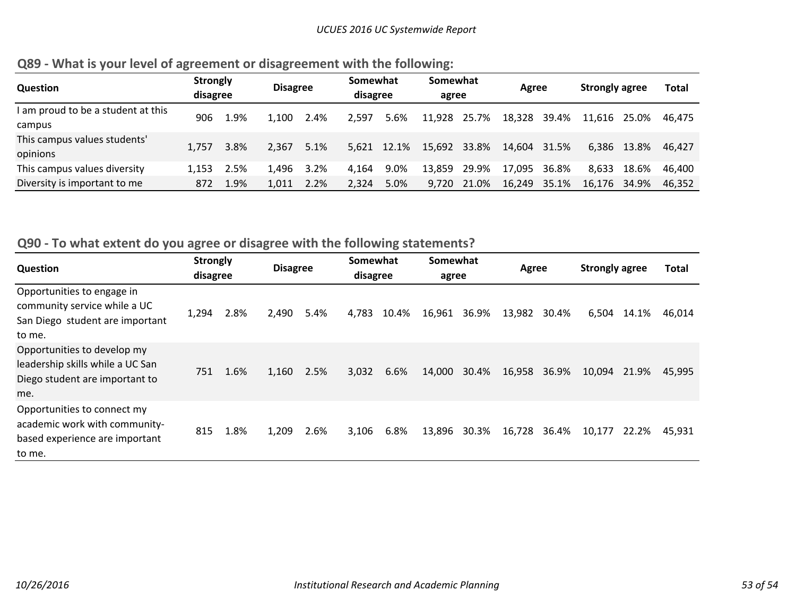|  |  | Q89 - What is your level of agreement or disagreement with the following: |  |
|--|--|---------------------------------------------------------------------------|--|
|--|--|---------------------------------------------------------------------------|--|

| <b>Question</b>                    | <b>Strongly</b><br>disagree |      | <b>Disagree</b> |      | Somewhat<br>disagree |       | Somewhat<br>agree |       | Agree        |       | <b>Strongly agree</b> |             | <b>Total</b> |
|------------------------------------|-----------------------------|------|-----------------|------|----------------------|-------|-------------------|-------|--------------|-------|-----------------------|-------------|--------------|
| I am proud to be a student at this | 906                         | 1.9% | 1.100           | 2.4% | 2.597                | 5.6%  | 11.928            | 25.7% | 18,328       | 39.4% | 11.616 25.0%          |             | 46.475       |
| campus                             |                             |      |                 |      |                      |       |                   |       |              |       |                       |             |              |
| This campus values students'       | 1.757                       | 3.8% | 2.367           | 5.1% | 5.621                | 12.1% | 15.692            | 33.8% | 14,604 31.5% |       |                       | 6,386 13.8% | 46.427       |
| opinions                           |                             |      |                 |      |                      |       |                   |       |              |       |                       |             |              |
| This campus values diversity       | 1.153                       | 2.5% | 1.496           | 3.2% | 4.164                | 9.0%  | 13.859            | 29.9% | 17.095       | 36.8% | 8.633                 | 18.6%       | 46.400       |
| Diversity is important to me       | 872                         | 1.9% | 1.011           | 2.2% | 2.324                | 5.0%  | 9.720             | 21.0% | 16.249       | 35.1% | 16.176 34.9%          |             | 46.352       |

# **Q90 ‐ To what extent do you agree or disagree with the following statements?**

| Question                                                                                                 | <b>Strongly</b><br>disagree |      | <b>Disagree</b> |      | Somewhat<br>disagree |       | Somewhat<br>agree |       | Agree  |       | <b>Strongly agree</b> |       | <b>Total</b> |
|----------------------------------------------------------------------------------------------------------|-----------------------------|------|-----------------|------|----------------------|-------|-------------------|-------|--------|-------|-----------------------|-------|--------------|
| Opportunities to engage in<br>community service while a UC<br>San Diego student are important<br>to me.  | 1,294                       | 2.8% | 2,490           | 5.4% | 4,783                | 10.4% | 16,961            | 36.9% | 13,982 | 30.4% | 6,504                 | 14.1% | 46,014       |
| Opportunities to develop my<br>leadership skills while a UC San<br>Diego student are important to<br>me. | 751                         | 1.6% | 1,160           | 2.5% | 3,032                | 6.6%  | 14,000            | 30.4% | 16,958 | 36.9% | 10,094                | 21.9% | 45.995       |
| Opportunities to connect my<br>academic work with community-<br>based experience are important<br>to me. | 815                         | 1.8% | 1,209           | 2.6% | 3,106                | 6.8%  | 13,896            | 30.3% | 16,728 | 36.4% | 10,177                | 22.2% | 45.931       |